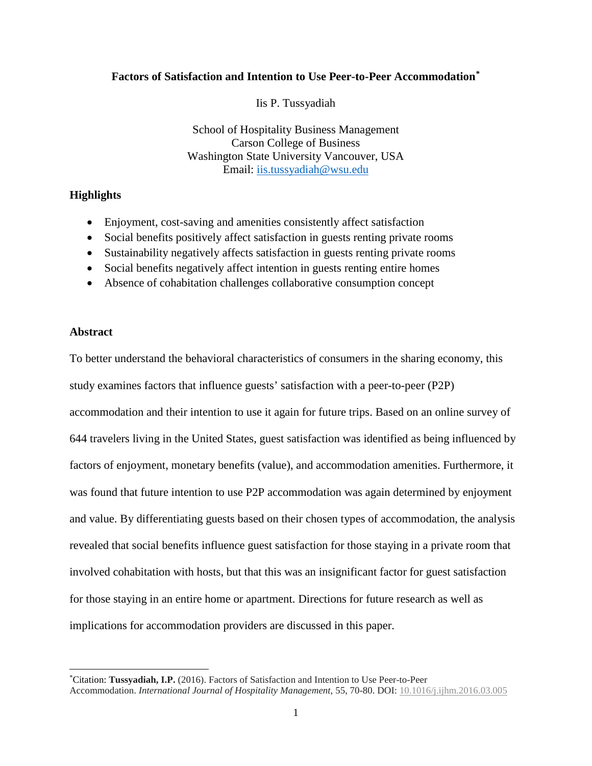# **Factors of Satisfaction and Intention to Use Peer-to-Peer Accommodation[\\*](#page-0-0)**

Iis P. Tussyadiah

School of Hospitality Business Management Carson College of Business Washington State University Vancouver, USA Email: [iis.tussyadiah@wsu.edu](mailto:iis.tussyadiah@wsu.edu)

# **Highlights**

- Enjoyment, cost-saving and amenities consistently affect satisfaction
- Social benefits positively affect satisfaction in guests renting private rooms
- Sustainability negatively affects satisfaction in guests renting private rooms
- Social benefits negatively affect intention in guests renting entire homes
- Absence of cohabitation challenges collaborative consumption concept

# **Abstract**

To better understand the behavioral characteristics of consumers in the sharing economy, this study examines factors that influence guests' satisfaction with a peer-to-peer (P2P) accommodation and their intention to use it again for future trips. Based on an online survey of 644 travelers living in the United States, guest satisfaction was identified as being influenced by factors of enjoyment, monetary benefits (value), and accommodation amenities. Furthermore, it was found that future intention to use P2P accommodation was again determined by enjoyment and value. By differentiating guests based on their chosen types of accommodation, the analysis revealed that social benefits influence guest satisfaction for those staying in a private room that involved cohabitation with hosts, but that this was an insignificant factor for guest satisfaction for those staying in an entire home or apartment. Directions for future research as well as implications for accommodation providers are discussed in this paper.

<span id="page-0-0"></span> <sup>\*</sup> Citation: **Tussyadiah, I.P.** (2016). Factors of Satisfaction and Intention to Use Peer-to-Peer Accommodation. *International Journal of Hospitality Management*, 55, 70-80. DOI: [10.1016/j.ijhm.2016.03.005](http://www.sciencedirect.com/science/article/pii/S0278431916300226)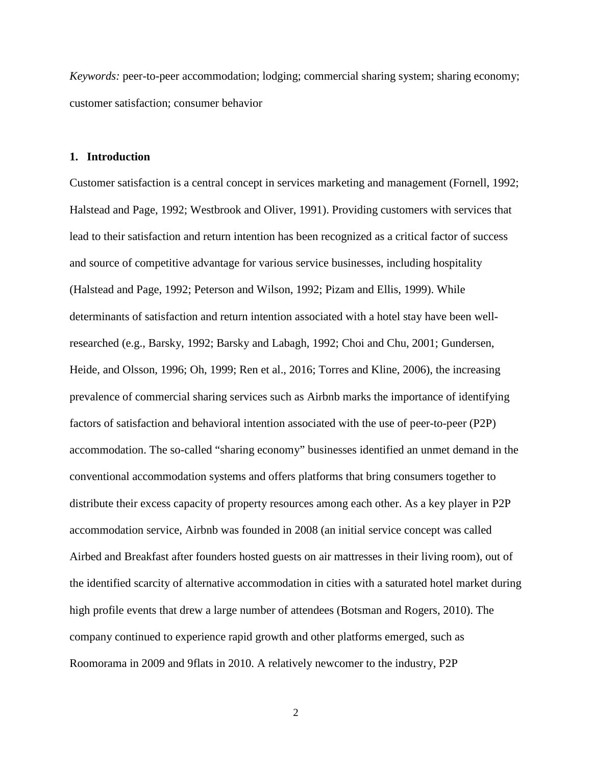*Keywords:* peer-to-peer accommodation; lodging; commercial sharing system; sharing economy; customer satisfaction; consumer behavior

### **1. Introduction**

Customer satisfaction is a central concept in services marketing and management (Fornell, 1992; Halstead and Page, 1992; Westbrook and Oliver, 1991). Providing customers with services that lead to their satisfaction and return intention has been recognized as a critical factor of success and source of competitive advantage for various service businesses, including hospitality (Halstead and Page, 1992; Peterson and Wilson, 1992; Pizam and Ellis, 1999). While determinants of satisfaction and return intention associated with a hotel stay have been wellresearched (e.g., Barsky, 1992; Barsky and Labagh, 1992; Choi and Chu, 2001; Gundersen, Heide, and Olsson, 1996; Oh, 1999; Ren et al., 2016; Torres and Kline, 2006), the increasing prevalence of commercial sharing services such as Airbnb marks the importance of identifying factors of satisfaction and behavioral intention associated with the use of peer-to-peer (P2P) accommodation. The so-called "sharing economy" businesses identified an unmet demand in the conventional accommodation systems and offers platforms that bring consumers together to distribute their excess capacity of property resources among each other. As a key player in P2P accommodation service, Airbnb was founded in 2008 (an initial service concept was called Airbed and Breakfast after founders hosted guests on air mattresses in their living room), out of the identified scarcity of alternative accommodation in cities with a saturated hotel market during high profile events that drew a large number of attendees (Botsman and Rogers, 2010). The company continued to experience rapid growth and other platforms emerged, such as Roomorama in 2009 and 9flats in 2010. A relatively newcomer to the industry, P2P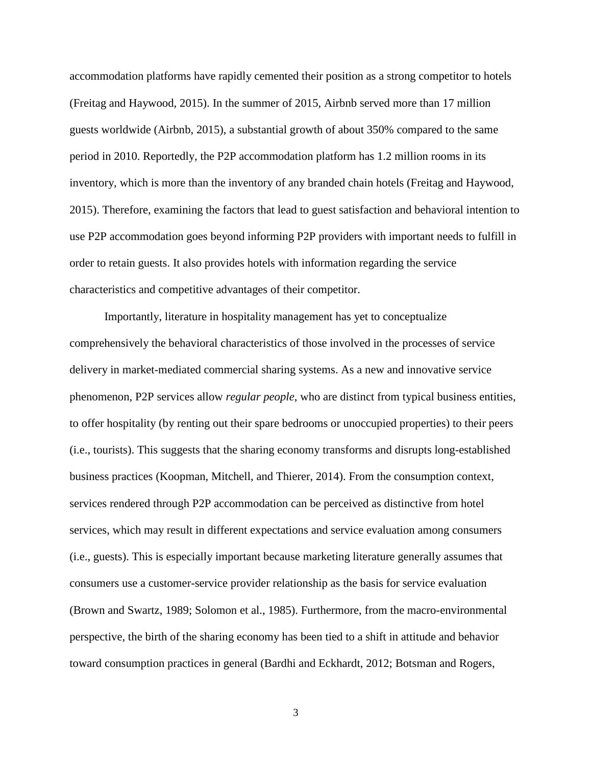accommodation platforms have rapidly cemented their position as a strong competitor to hotels (Freitag and Haywood, 2015). In the summer of 2015, Airbnb served more than 17 million guests worldwide (Airbnb, 2015), a substantial growth of about 350% compared to the same period in 2010. Reportedly, the P2P accommodation platform has 1.2 million rooms in its inventory, which is more than the inventory of any branded chain hotels (Freitag and Haywood, 2015). Therefore, examining the factors that lead to guest satisfaction and behavioral intention to use P2P accommodation goes beyond informing P2P providers with important needs to fulfill in order to retain guests. It also provides hotels with information regarding the service characteristics and competitive advantages of their competitor.

Importantly, literature in hospitality management has yet to conceptualize comprehensively the behavioral characteristics of those involved in the processes of service delivery in market-mediated commercial sharing systems. As a new and innovative service phenomenon, P2P services allow *regular people*, who are distinct from typical business entities, to offer hospitality (by renting out their spare bedrooms or unoccupied properties) to their peers (i.e., tourists). This suggests that the sharing economy transforms and disrupts long-established business practices (Koopman, Mitchell, and Thierer, 2014). From the consumption context, services rendered through P2P accommodation can be perceived as distinctive from hotel services, which may result in different expectations and service evaluation among consumers (i.e., guests). This is especially important because marketing literature generally assumes that consumers use a customer-service provider relationship as the basis for service evaluation (Brown and Swartz, 1989; Solomon et al., 1985). Furthermore, from the macro-environmental perspective, the birth of the sharing economy has been tied to a shift in attitude and behavior toward consumption practices in general (Bardhi and Eckhardt, 2012; Botsman and Rogers,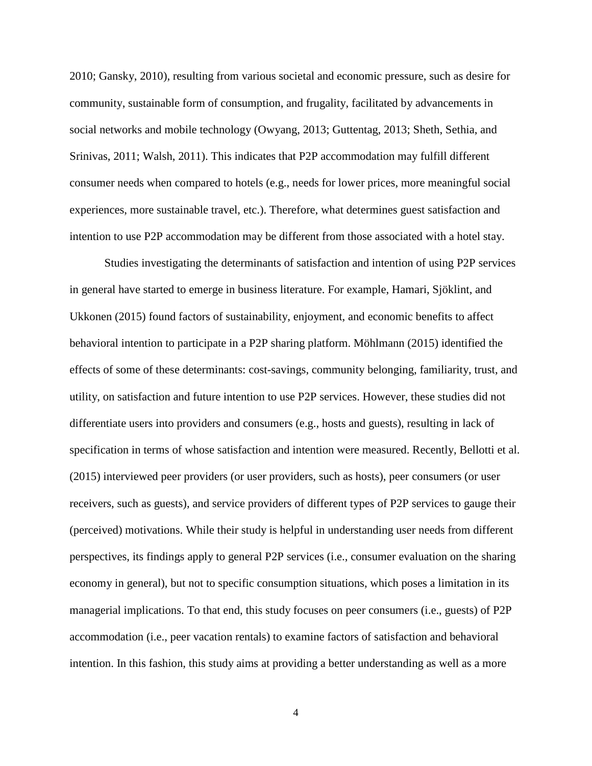2010; Gansky, 2010), resulting from various societal and economic pressure, such as desire for community, sustainable form of consumption, and frugality, facilitated by advancements in social networks and mobile technology (Owyang, 2013; Guttentag, 2013; Sheth, Sethia, and Srinivas, 2011; Walsh, 2011). This indicates that P2P accommodation may fulfill different consumer needs when compared to hotels (e.g., needs for lower prices, more meaningful social experiences, more sustainable travel, etc.). Therefore, what determines guest satisfaction and intention to use P2P accommodation may be different from those associated with a hotel stay.

Studies investigating the determinants of satisfaction and intention of using P2P services in general have started to emerge in business literature. For example, Hamari, Sjöklint, and Ukkonen (2015) found factors of sustainability, enjoyment, and economic benefits to affect behavioral intention to participate in a P2P sharing platform. Möhlmann (2015) identified the effects of some of these determinants: cost-savings, community belonging, familiarity, trust, and utility, on satisfaction and future intention to use P2P services. However, these studies did not differentiate users into providers and consumers (e.g., hosts and guests), resulting in lack of specification in terms of whose satisfaction and intention were measured. Recently, Bellotti et al. (2015) interviewed peer providers (or user providers, such as hosts), peer consumers (or user receivers, such as guests), and service providers of different types of P2P services to gauge their (perceived) motivations. While their study is helpful in understanding user needs from different perspectives, its findings apply to general P2P services (i.e., consumer evaluation on the sharing economy in general), but not to specific consumption situations, which poses a limitation in its managerial implications. To that end, this study focuses on peer consumers (i.e., guests) of P2P accommodation (i.e., peer vacation rentals) to examine factors of satisfaction and behavioral intention. In this fashion, this study aims at providing a better understanding as well as a more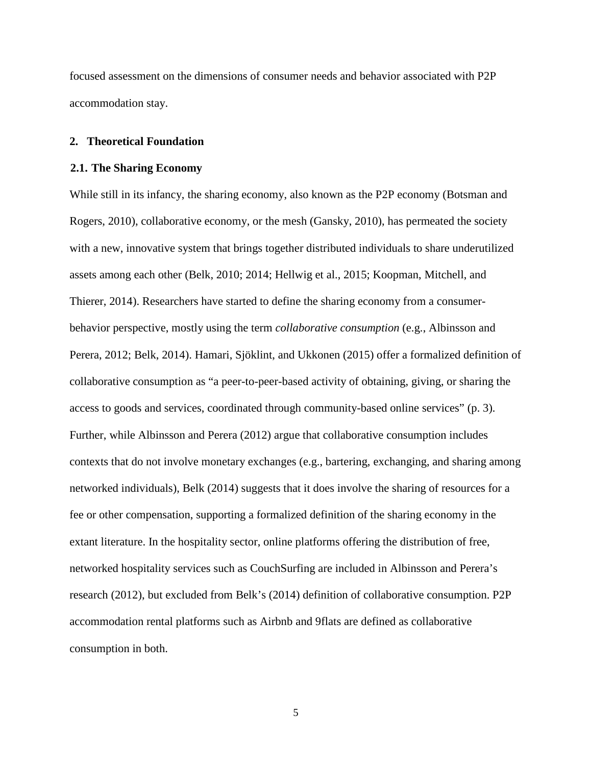focused assessment on the dimensions of consumer needs and behavior associated with P2P accommodation stay.

### **2. Theoretical Foundation**

### **2.1. The Sharing Economy**

While still in its infancy, the sharing economy, also known as the P2P economy (Botsman and Rogers, 2010), collaborative economy, or the mesh (Gansky, 2010), has permeated the society with a new, innovative system that brings together distributed individuals to share underutilized assets among each other (Belk, 2010; 2014; Hellwig et al., 2015; Koopman, Mitchell, and Thierer, 2014). Researchers have started to define the sharing economy from a consumerbehavior perspective, mostly using the term *collaborative consumption* (e.g., Albinsson and Perera, 2012; Belk, 2014). Hamari, Sjöklint, and Ukkonen (2015) offer a formalized definition of collaborative consumption as "a peer-to-peer-based activity of obtaining, giving, or sharing the access to goods and services, coordinated through community-based online services" (p. 3). Further, while Albinsson and Perera (2012) argue that collaborative consumption includes contexts that do not involve monetary exchanges (e.g., bartering, exchanging, and sharing among networked individuals), Belk (2014) suggests that it does involve the sharing of resources for a fee or other compensation, supporting a formalized definition of the sharing economy in the extant literature. In the hospitality sector, online platforms offering the distribution of free, networked hospitality services such as CouchSurfing are included in Albinsson and Perera's research (2012), but excluded from Belk's (2014) definition of collaborative consumption. P2P accommodation rental platforms such as Airbnb and 9flats are defined as collaborative consumption in both.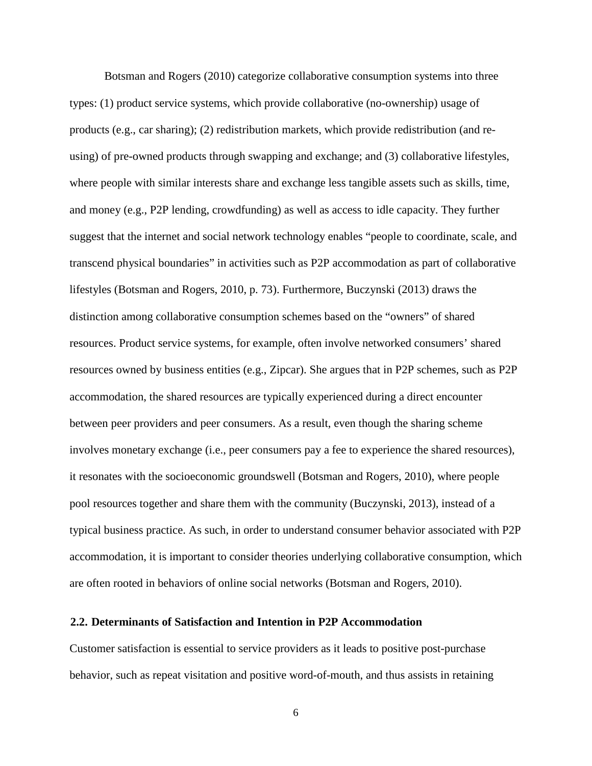Botsman and Rogers (2010) categorize collaborative consumption systems into three types: (1) product service systems, which provide collaborative (no-ownership) usage of products (e.g., car sharing); (2) redistribution markets, which provide redistribution (and reusing) of pre-owned products through swapping and exchange; and (3) collaborative lifestyles, where people with similar interests share and exchange less tangible assets such as skills, time, and money (e.g., P2P lending, crowdfunding) as well as access to idle capacity. They further suggest that the internet and social network technology enables "people to coordinate, scale, and transcend physical boundaries" in activities such as P2P accommodation as part of collaborative lifestyles (Botsman and Rogers, 2010, p. 73). Furthermore, Buczynski (2013) draws the distinction among collaborative consumption schemes based on the "owners" of shared resources. Product service systems, for example, often involve networked consumers' shared resources owned by business entities (e.g., Zipcar). She argues that in P2P schemes, such as P2P accommodation, the shared resources are typically experienced during a direct encounter between peer providers and peer consumers. As a result, even though the sharing scheme involves monetary exchange (i.e., peer consumers pay a fee to experience the shared resources), it resonates with the socioeconomic groundswell (Botsman and Rogers, 2010), where people pool resources together and share them with the community (Buczynski, 2013), instead of a typical business practice. As such, in order to understand consumer behavior associated with P2P accommodation, it is important to consider theories underlying collaborative consumption, which are often rooted in behaviors of online social networks (Botsman and Rogers, 2010).

# **2.2. Determinants of Satisfaction and Intention in P2P Accommodation**

Customer satisfaction is essential to service providers as it leads to positive post-purchase behavior, such as repeat visitation and positive word-of-mouth, and thus assists in retaining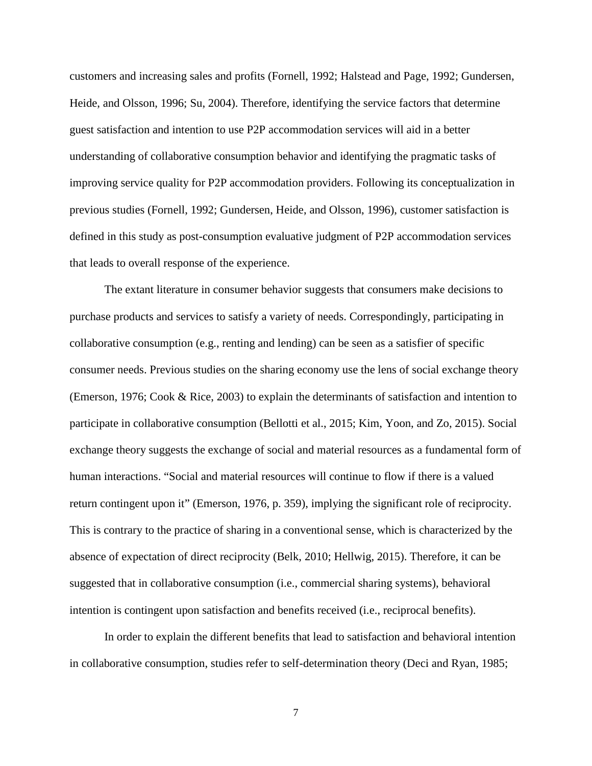customers and increasing sales and profits (Fornell, 1992; Halstead and Page, 1992; Gundersen, Heide, and Olsson, 1996; Su, 2004). Therefore, identifying the service factors that determine guest satisfaction and intention to use P2P accommodation services will aid in a better understanding of collaborative consumption behavior and identifying the pragmatic tasks of improving service quality for P2P accommodation providers. Following its conceptualization in previous studies (Fornell, 1992; Gundersen, Heide, and Olsson, 1996), customer satisfaction is defined in this study as post-consumption evaluative judgment of P2P accommodation services that leads to overall response of the experience.

The extant literature in consumer behavior suggests that consumers make decisions to purchase products and services to satisfy a variety of needs. Correspondingly, participating in collaborative consumption (e.g., renting and lending) can be seen as a satisfier of specific consumer needs. Previous studies on the sharing economy use the lens of social exchange theory (Emerson, 1976; Cook & Rice, 2003) to explain the determinants of satisfaction and intention to participate in collaborative consumption (Bellotti et al., 2015; Kim, Yoon, and Zo, 2015). Social exchange theory suggests the exchange of social and material resources as a fundamental form of human interactions. "Social and material resources will continue to flow if there is a valued return contingent upon it" (Emerson, 1976, p. 359), implying the significant role of reciprocity. This is contrary to the practice of sharing in a conventional sense, which is characterized by the absence of expectation of direct reciprocity (Belk, 2010; Hellwig, 2015). Therefore, it can be suggested that in collaborative consumption (i.e., commercial sharing systems), behavioral intention is contingent upon satisfaction and benefits received (i.e., reciprocal benefits).

In order to explain the different benefits that lead to satisfaction and behavioral intention in collaborative consumption, studies refer to self-determination theory (Deci and Ryan, 1985;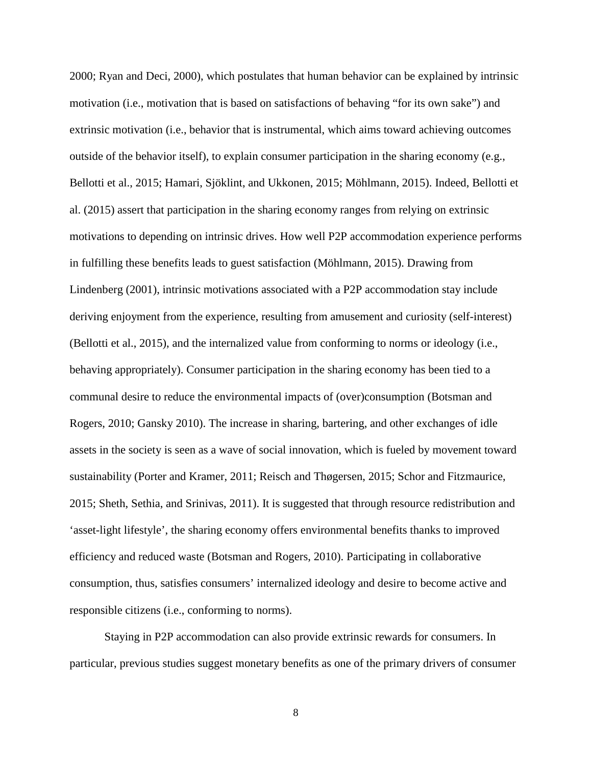2000; Ryan and Deci, 2000), which postulates that human behavior can be explained by intrinsic motivation (i.e., motivation that is based on satisfactions of behaving "for its own sake") and extrinsic motivation (i.e., behavior that is instrumental, which aims toward achieving outcomes outside of the behavior itself), to explain consumer participation in the sharing economy (e.g., Bellotti et al., 2015; Hamari, Sjöklint, and Ukkonen, 2015; Möhlmann, 2015). Indeed, Bellotti et al. (2015) assert that participation in the sharing economy ranges from relying on extrinsic motivations to depending on intrinsic drives. How well P2P accommodation experience performs in fulfilling these benefits leads to guest satisfaction (Möhlmann, 2015). Drawing from Lindenberg (2001), intrinsic motivations associated with a P2P accommodation stay include deriving enjoyment from the experience, resulting from amusement and curiosity (self-interest) (Bellotti et al., 2015), and the internalized value from conforming to norms or ideology (i.e., behaving appropriately). Consumer participation in the sharing economy has been tied to a communal desire to reduce the environmental impacts of (over)consumption (Botsman and Rogers, 2010; Gansky 2010). The increase in sharing, bartering, and other exchanges of idle assets in the society is seen as a wave of social innovation, which is fueled by movement toward sustainability (Porter and Kramer, 2011; Reisch and Thøgersen, 2015; Schor and Fitzmaurice, 2015; Sheth, Sethia, and Srinivas, 2011). It is suggested that through resource redistribution and 'asset-light lifestyle', the sharing economy offers environmental benefits thanks to improved efficiency and reduced waste (Botsman and Rogers, 2010). Participating in collaborative consumption, thus, satisfies consumers' internalized ideology and desire to become active and responsible citizens (i.e., conforming to norms).

Staying in P2P accommodation can also provide extrinsic rewards for consumers. In particular, previous studies suggest monetary benefits as one of the primary drivers of consumer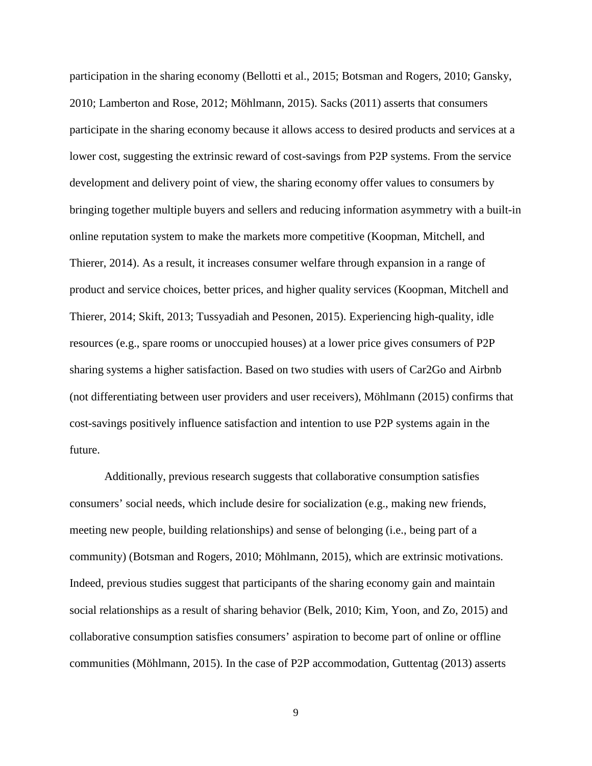participation in the sharing economy (Bellotti et al., 2015; Botsman and Rogers, 2010; Gansky, 2010; Lamberton and Rose, 2012; Möhlmann, 2015). Sacks (2011) asserts that consumers participate in the sharing economy because it allows access to desired products and services at a lower cost, suggesting the extrinsic reward of cost-savings from P2P systems. From the service development and delivery point of view, the sharing economy offer values to consumers by bringing together multiple buyers and sellers and reducing information asymmetry with a built-in online reputation system to make the markets more competitive (Koopman, Mitchell, and Thierer, 2014). As a result, it increases consumer welfare through expansion in a range of product and service choices, better prices, and higher quality services (Koopman, Mitchell and Thierer, 2014; Skift, 2013; Tussyadiah and Pesonen, 2015). Experiencing high-quality, idle resources (e.g., spare rooms or unoccupied houses) at a lower price gives consumers of P2P sharing systems a higher satisfaction. Based on two studies with users of Car2Go and Airbnb (not differentiating between user providers and user receivers), Möhlmann (2015) confirms that cost-savings positively influence satisfaction and intention to use P2P systems again in the future.

Additionally, previous research suggests that collaborative consumption satisfies consumers' social needs, which include desire for socialization (e.g., making new friends, meeting new people, building relationships) and sense of belonging (i.e., being part of a community) (Botsman and Rogers, 2010; Möhlmann, 2015), which are extrinsic motivations. Indeed, previous studies suggest that participants of the sharing economy gain and maintain social relationships as a result of sharing behavior (Belk, 2010; Kim, Yoon, and Zo, 2015) and collaborative consumption satisfies consumers' aspiration to become part of online or offline communities (Möhlmann, 2015). In the case of P2P accommodation, Guttentag (2013) asserts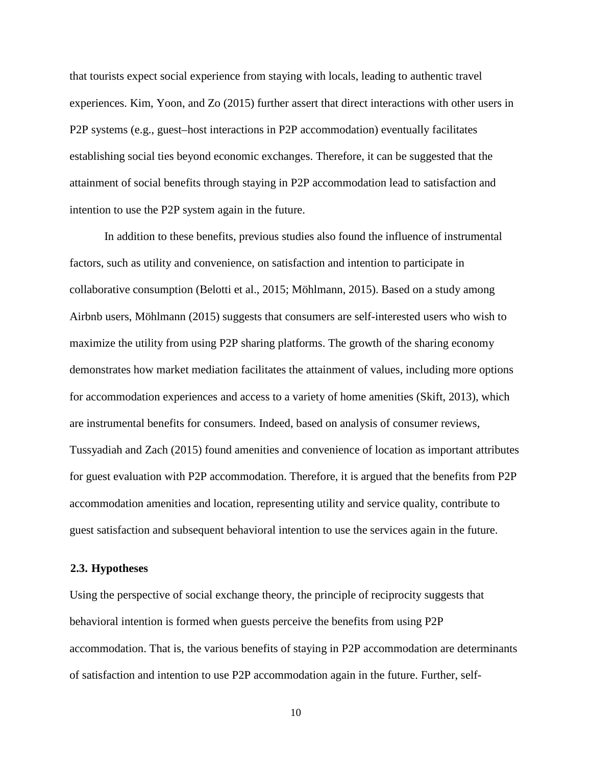that tourists expect social experience from staying with locals, leading to authentic travel experiences. Kim, Yoon, and Zo (2015) further assert that direct interactions with other users in P2P systems (e.g., guest–host interactions in P2P accommodation) eventually facilitates establishing social ties beyond economic exchanges. Therefore, it can be suggested that the attainment of social benefits through staying in P2P accommodation lead to satisfaction and intention to use the P2P system again in the future.

In addition to these benefits, previous studies also found the influence of instrumental factors, such as utility and convenience, on satisfaction and intention to participate in collaborative consumption (Belotti et al., 2015; Möhlmann, 2015). Based on a study among Airbnb users, Möhlmann (2015) suggests that consumers are self-interested users who wish to maximize the utility from using P2P sharing platforms. The growth of the sharing economy demonstrates how market mediation facilitates the attainment of values, including more options for accommodation experiences and access to a variety of home amenities (Skift, 2013), which are instrumental benefits for consumers. Indeed, based on analysis of consumer reviews, Tussyadiah and Zach (2015) found amenities and convenience of location as important attributes for guest evaluation with P2P accommodation. Therefore, it is argued that the benefits from P2P accommodation amenities and location, representing utility and service quality, contribute to guest satisfaction and subsequent behavioral intention to use the services again in the future.

# **2.3. Hypotheses**

Using the perspective of social exchange theory, the principle of reciprocity suggests that behavioral intention is formed when guests perceive the benefits from using P2P accommodation. That is, the various benefits of staying in P2P accommodation are determinants of satisfaction and intention to use P2P accommodation again in the future. Further, self-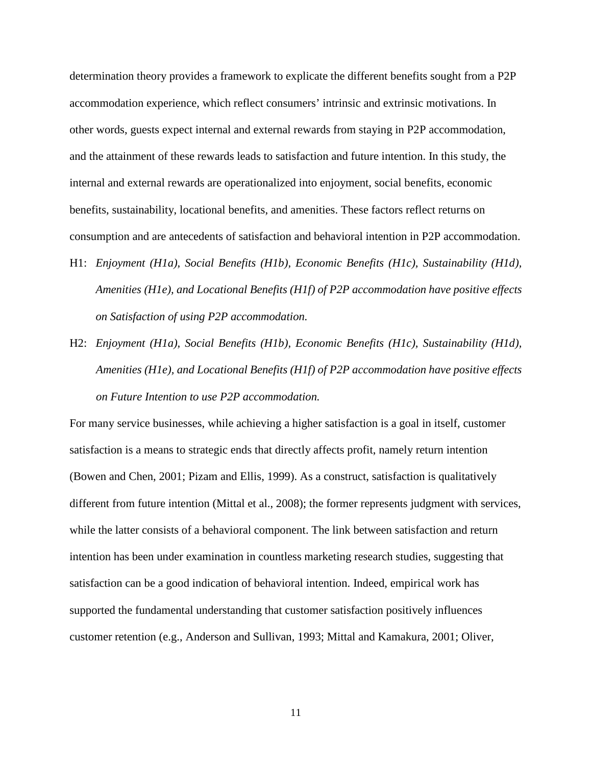determination theory provides a framework to explicate the different benefits sought from a P2P accommodation experience, which reflect consumers' intrinsic and extrinsic motivations. In other words, guests expect internal and external rewards from staying in P2P accommodation, and the attainment of these rewards leads to satisfaction and future intention. In this study, the internal and external rewards are operationalized into enjoyment, social benefits, economic benefits, sustainability, locational benefits, and amenities. These factors reflect returns on consumption and are antecedents of satisfaction and behavioral intention in P2P accommodation.

- H1: *Enjoyment (H1a), Social Benefits (H1b), Economic Benefits (H1c), Sustainability (H1d), Amenities (H1e), and Locational Benefits (H1f) of P2P accommodation have positive effects on Satisfaction of using P2P accommodation.*
- H2: *Enjoyment (H1a), Social Benefits (H1b), Economic Benefits (H1c), Sustainability (H1d), Amenities (H1e), and Locational Benefits (H1f) of P2P accommodation have positive effects on Future Intention to use P2P accommodation.*

For many service businesses, while achieving a higher satisfaction is a goal in itself, customer satisfaction is a means to strategic ends that directly affects profit, namely return intention (Bowen and Chen, 2001; Pizam and Ellis, 1999). As a construct, satisfaction is qualitatively different from future intention (Mittal et al., 2008); the former represents judgment with services, while the latter consists of a behavioral component. The link between satisfaction and return intention has been under examination in countless marketing research studies, suggesting that satisfaction can be a good indication of behavioral intention. Indeed, empirical work has supported the fundamental understanding that customer satisfaction positively influences customer retention (e.g., Anderson and Sullivan, 1993; Mittal and Kamakura, 2001; Oliver,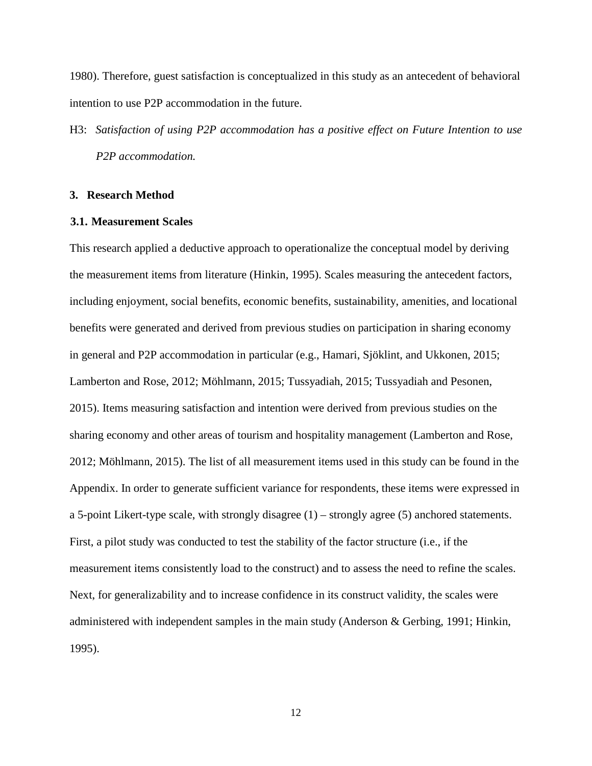1980). Therefore, guest satisfaction is conceptualized in this study as an antecedent of behavioral intention to use P2P accommodation in the future.

H3: *Satisfaction of using P2P accommodation has a positive effect on Future Intention to use P2P accommodation.* 

### **3. Research Method**

#### **3.1. Measurement Scales**

This research applied a deductive approach to operationalize the conceptual model by deriving the measurement items from literature (Hinkin, 1995). Scales measuring the antecedent factors, including enjoyment, social benefits, economic benefits, sustainability, amenities, and locational benefits were generated and derived from previous studies on participation in sharing economy in general and P2P accommodation in particular (e.g., Hamari, Sjöklint, and Ukkonen, 2015; Lamberton and Rose, 2012; Möhlmann, 2015; Tussyadiah, 2015; Tussyadiah and Pesonen, 2015). Items measuring satisfaction and intention were derived from previous studies on the sharing economy and other areas of tourism and hospitality management (Lamberton and Rose, 2012; Möhlmann, 2015). The list of all measurement items used in this study can be found in the Appendix. In order to generate sufficient variance for respondents, these items were expressed in a 5-point Likert-type scale, with strongly disagree (1) – strongly agree (5) anchored statements. First, a pilot study was conducted to test the stability of the factor structure (i.e., if the measurement items consistently load to the construct) and to assess the need to refine the scales. Next, for generalizability and to increase confidence in its construct validity, the scales were administered with independent samples in the main study (Anderson & Gerbing, 1991; Hinkin, 1995).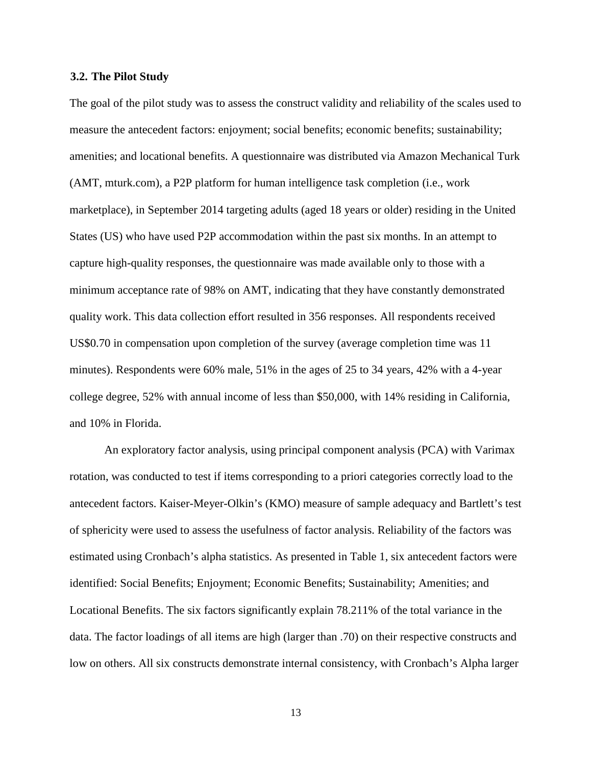## **3.2. The Pilot Study**

The goal of the pilot study was to assess the construct validity and reliability of the scales used to measure the antecedent factors: enjoyment; social benefits; economic benefits; sustainability; amenities; and locational benefits. A questionnaire was distributed via Amazon Mechanical Turk (AMT, mturk.com), a P2P platform for human intelligence task completion (i.e., work marketplace), in September 2014 targeting adults (aged 18 years or older) residing in the United States (US) who have used P2P accommodation within the past six months. In an attempt to capture high-quality responses, the questionnaire was made available only to those with a minimum acceptance rate of 98% on AMT, indicating that they have constantly demonstrated quality work. This data collection effort resulted in 356 responses. All respondents received US\$0.70 in compensation upon completion of the survey (average completion time was 11 minutes). Respondents were 60% male, 51% in the ages of 25 to 34 years, 42% with a 4-year college degree, 52% with annual income of less than \$50,000, with 14% residing in California, and 10% in Florida.

An exploratory factor analysis, using principal component analysis (PCA) with Varimax rotation, was conducted to test if items corresponding to a priori categories correctly load to the antecedent factors. Kaiser-Meyer-Olkin's (KMO) measure of sample adequacy and Bartlett's test of sphericity were used to assess the usefulness of factor analysis. Reliability of the factors was estimated using Cronbach's alpha statistics. As presented in Table 1, six antecedent factors were identified: Social Benefits; Enjoyment; Economic Benefits; Sustainability; Amenities; and Locational Benefits. The six factors significantly explain 78.211% of the total variance in the data. The factor loadings of all items are high (larger than .70) on their respective constructs and low on others. All six constructs demonstrate internal consistency, with Cronbach's Alpha larger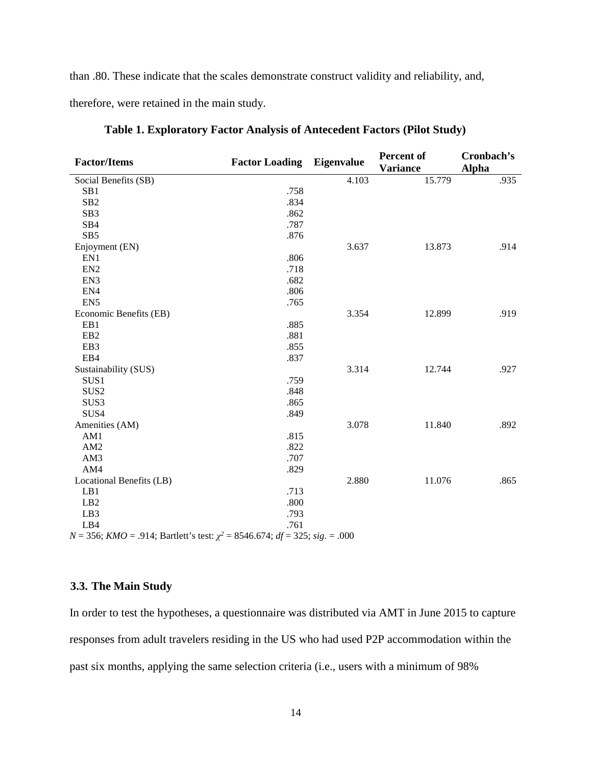than .80. These indicate that the scales demonstrate construct validity and reliability, and,

therefore, were retained in the main study.

| <b>Factor/Items</b>                                                                     | <b>Factor Loading Eigenvalue</b> |       | Percent of      | Cronbach's   |  |  |  |
|-----------------------------------------------------------------------------------------|----------------------------------|-------|-----------------|--------------|--|--|--|
|                                                                                         |                                  |       | <b>Variance</b> | <b>Alpha</b> |  |  |  |
| Social Benefits (SB)                                                                    |                                  | 4.103 | 15.779          | .935         |  |  |  |
| SB1                                                                                     | .758                             |       |                 |              |  |  |  |
| SB <sub>2</sub>                                                                         | .834                             |       |                 |              |  |  |  |
| SB <sub>3</sub>                                                                         | .862                             |       |                 |              |  |  |  |
| SB4                                                                                     | .787                             |       |                 |              |  |  |  |
| SB <sub>5</sub>                                                                         | .876                             |       |                 |              |  |  |  |
| Enjoyment (EN)                                                                          |                                  | 3.637 | 13.873          | .914         |  |  |  |
| EN1                                                                                     | .806                             |       |                 |              |  |  |  |
| EN <sub>2</sub>                                                                         | .718                             |       |                 |              |  |  |  |
| EN3                                                                                     | .682                             |       |                 |              |  |  |  |
| EN4                                                                                     | .806                             |       |                 |              |  |  |  |
| EN <sub>5</sub>                                                                         | .765                             |       |                 |              |  |  |  |
| Economic Benefits (EB)                                                                  |                                  | 3.354 | 12.899          | .919         |  |  |  |
| EB1                                                                                     | .885                             |       |                 |              |  |  |  |
| EB <sub>2</sub>                                                                         | .881                             |       |                 |              |  |  |  |
| EB3                                                                                     | .855                             |       |                 |              |  |  |  |
| EB4                                                                                     | .837                             |       |                 |              |  |  |  |
| Sustainability (SUS)                                                                    |                                  | 3.314 | 12.744          | .927         |  |  |  |
| SUS1                                                                                    | .759                             |       |                 |              |  |  |  |
| SUS <sub>2</sub>                                                                        | .848                             |       |                 |              |  |  |  |
| SUS3                                                                                    | .865                             |       |                 |              |  |  |  |
| SUS4                                                                                    | .849                             |       |                 |              |  |  |  |
| Amenities (AM)                                                                          |                                  | 3.078 | 11.840          | .892         |  |  |  |
| AM1                                                                                     | .815                             |       |                 |              |  |  |  |
| AM2                                                                                     | .822                             |       |                 |              |  |  |  |
| AM3                                                                                     | .707                             |       |                 |              |  |  |  |
| AM4                                                                                     | .829                             |       |                 |              |  |  |  |
| Locational Benefits (LB)                                                                |                                  | 2.880 | 11.076          | .865         |  |  |  |
| LB1                                                                                     | .713                             |       |                 |              |  |  |  |
| LB <sub>2</sub>                                                                         | .800                             |       |                 |              |  |  |  |
| LB3                                                                                     | .793                             |       |                 |              |  |  |  |
| LB4                                                                                     | .761                             |       |                 |              |  |  |  |
| $N = 356$ ; KMO = .914; Bartlett's test: $\chi^2 = 8546.674$ ; $df = 325$ ; sig. = .000 |                                  |       |                 |              |  |  |  |

**Table 1. Exploratory Factor Analysis of Antecedent Factors (Pilot Study)**

# **3.3. The Main Study**

In order to test the hypotheses, a questionnaire was distributed via AMT in June 2015 to capture responses from adult travelers residing in the US who had used P2P accommodation within the past six months, applying the same selection criteria (i.e., users with a minimum of 98%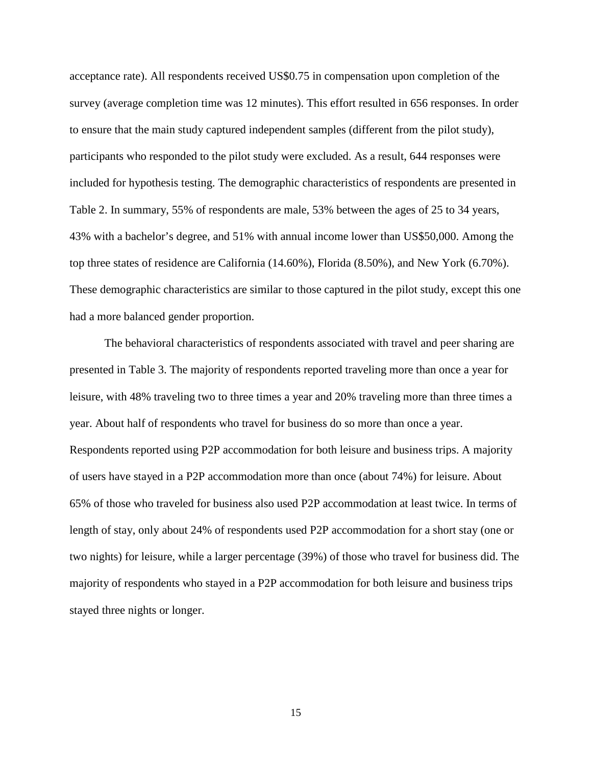acceptance rate). All respondents received US\$0.75 in compensation upon completion of the survey (average completion time was 12 minutes). This effort resulted in 656 responses. In order to ensure that the main study captured independent samples (different from the pilot study), participants who responded to the pilot study were excluded. As a result, 644 responses were included for hypothesis testing. The demographic characteristics of respondents are presented in Table 2. In summary, 55% of respondents are male, 53% between the ages of 25 to 34 years, 43% with a bachelor's degree, and 51% with annual income lower than US\$50,000. Among the top three states of residence are California (14.60%), Florida (8.50%), and New York (6.70%). These demographic characteristics are similar to those captured in the pilot study, except this one had a more balanced gender proportion.

The behavioral characteristics of respondents associated with travel and peer sharing are presented in Table 3. The majority of respondents reported traveling more than once a year for leisure, with 48% traveling two to three times a year and 20% traveling more than three times a year. About half of respondents who travel for business do so more than once a year. Respondents reported using P2P accommodation for both leisure and business trips. A majority of users have stayed in a P2P accommodation more than once (about 74%) for leisure. About 65% of those who traveled for business also used P2P accommodation at least twice. In terms of length of stay, only about 24% of respondents used P2P accommodation for a short stay (one or two nights) for leisure, while a larger percentage (39%) of those who travel for business did. The majority of respondents who stayed in a P2P accommodation for both leisure and business trips stayed three nights or longer.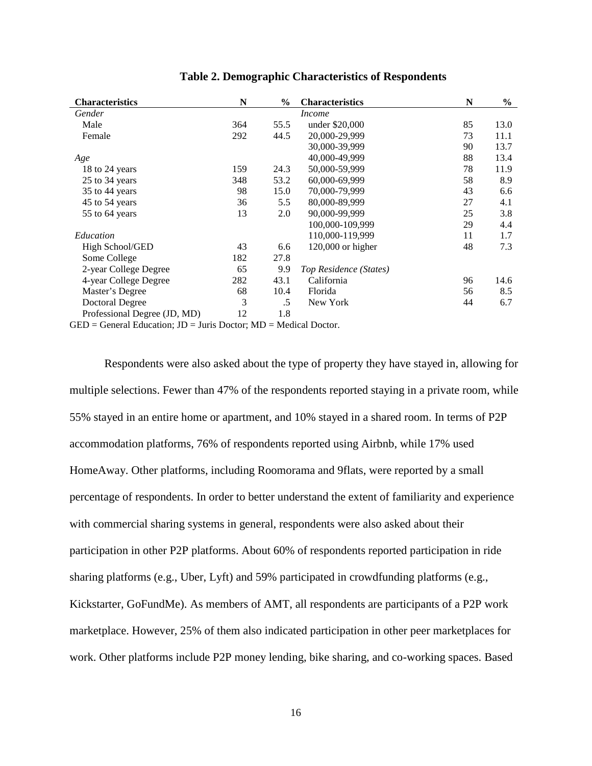| <b>Characteristics</b>                                                                                                                                                                                                                                                                                                                                                                                                                                    | N   | $\%$ | <b>Characteristics</b> | N  | $\frac{6}{10}$ |
|-----------------------------------------------------------------------------------------------------------------------------------------------------------------------------------------------------------------------------------------------------------------------------------------------------------------------------------------------------------------------------------------------------------------------------------------------------------|-----|------|------------------------|----|----------------|
| Gender                                                                                                                                                                                                                                                                                                                                                                                                                                                    |     |      | <i>Income</i>          |    |                |
| Male                                                                                                                                                                                                                                                                                                                                                                                                                                                      | 364 | 55.5 | under \$20,000         | 85 | 13.0           |
| Female                                                                                                                                                                                                                                                                                                                                                                                                                                                    | 292 | 44.5 | 20,000-29,999          | 73 | 11.1           |
|                                                                                                                                                                                                                                                                                                                                                                                                                                                           |     |      | 30,000-39,999          | 90 | 13.7           |
| Age                                                                                                                                                                                                                                                                                                                                                                                                                                                       |     |      | 40,000-49,999          | 88 | 13.4           |
| 18 to 24 years                                                                                                                                                                                                                                                                                                                                                                                                                                            | 159 | 24.3 | 50,000-59,999          | 78 | 11.9           |
| 25 to 34 years                                                                                                                                                                                                                                                                                                                                                                                                                                            | 348 | 53.2 | 60,000-69,999          | 58 | 8.9            |
| 35 to 44 years                                                                                                                                                                                                                                                                                                                                                                                                                                            | 98  | 15.0 | 70,000-79,999          | 43 | 6.6            |
| 45 to 54 years                                                                                                                                                                                                                                                                                                                                                                                                                                            | 36  | 5.5  | 80,000-89,999          | 27 | 4.1            |
| 55 to 64 years                                                                                                                                                                                                                                                                                                                                                                                                                                            | 13  | 2.0  | 90,000-99,999          | 25 | 3.8            |
|                                                                                                                                                                                                                                                                                                                                                                                                                                                           |     |      | 100,000-109,999        | 29 | 4.4            |
| Education                                                                                                                                                                                                                                                                                                                                                                                                                                                 |     |      | 110,000-119,999        | 11 | 1.7            |
| High School/GED                                                                                                                                                                                                                                                                                                                                                                                                                                           | 43  | 6.6  | $120,000$ or higher    | 48 | 7.3            |
| Some College                                                                                                                                                                                                                                                                                                                                                                                                                                              | 182 | 27.8 |                        |    |                |
| 2-year College Degree                                                                                                                                                                                                                                                                                                                                                                                                                                     | 65  | 9.9  | Top Residence (States) |    |                |
| 4-year College Degree                                                                                                                                                                                                                                                                                                                                                                                                                                     | 282 | 43.1 | California             | 96 | 14.6           |
| Master's Degree                                                                                                                                                                                                                                                                                                                                                                                                                                           | 68  | 10.4 | Florida                | 56 | 8.5            |
| <b>Doctoral Degree</b>                                                                                                                                                                                                                                                                                                                                                                                                                                    | 3   | .5   | New York               | 44 | 6.7            |
| Professional Degree (JD, MD)                                                                                                                                                                                                                                                                                                                                                                                                                              | 12  | 1.8  |                        |    |                |
| $CED = C_{\text{univ}} + D_{\text{univ}} + D_{\text{univ}} + D_{\text{univ}} + D_{\text{univ}} + D_{\text{univ}} + D_{\text{univ}} + D_{\text{univ}} + D_{\text{univ}} + D_{\text{univ}} + D_{\text{univ}} + D_{\text{univ}} + D_{\text{univ}} + D_{\text{univ}} + D_{\text{univ}} + D_{\text{univ}} + D_{\text{univ}} + D_{\text{univ}} + D_{\text{univ}} + D_{\text{univ}} + D_{\text{univ}} + D_{\text{univ}} + D_{\text{univ}} + D_{\text{univ}} + D$ |     |      |                        |    |                |

# **Table 2. Demographic Characteristics of Respondents**

 $GED = General Education: JD = Juris Doctor: MD = Medical Doctor.$ 

Respondents were also asked about the type of property they have stayed in, allowing for multiple selections. Fewer than 47% of the respondents reported staying in a private room, while 55% stayed in an entire home or apartment, and 10% stayed in a shared room. In terms of P2P accommodation platforms, 76% of respondents reported using Airbnb, while 17% used HomeAway. Other platforms, including Roomorama and 9flats, were reported by a small percentage of respondents. In order to better understand the extent of familiarity and experience with commercial sharing systems in general, respondents were also asked about their participation in other P2P platforms. About 60% of respondents reported participation in ride sharing platforms (e.g., Uber, Lyft) and 59% participated in crowdfunding platforms (e.g., Kickstarter, GoFundMe). As members of AMT, all respondents are participants of a P2P work marketplace. However, 25% of them also indicated participation in other peer marketplaces for work. Other platforms include P2P money lending, bike sharing, and co-working spaces. Based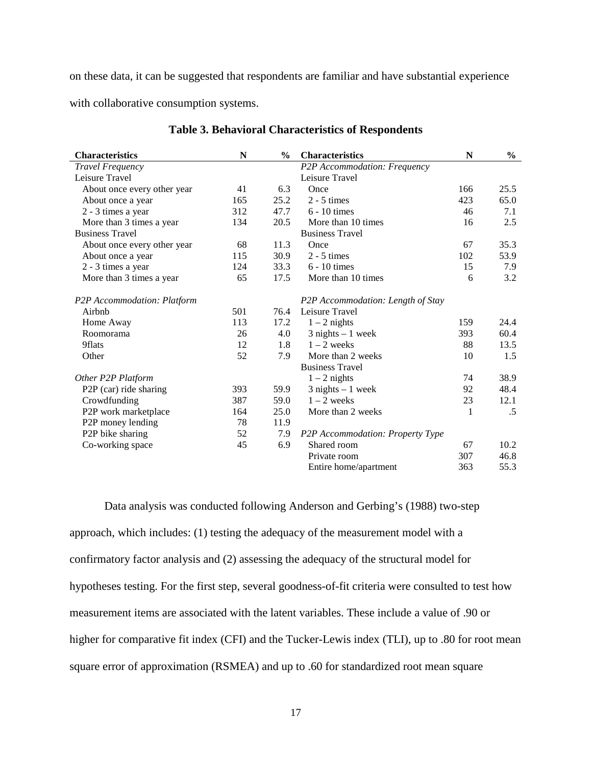on these data, it can be suggested that respondents are familiar and have substantial experience with collaborative consumption systems.

| <b>Characteristics</b>      | N   | $\frac{6}{9}$ | <b>Characteristics</b>            |     | $\%$   |
|-----------------------------|-----|---------------|-----------------------------------|-----|--------|
| Travel Frequency            |     |               | P2P Accommodation: Frequency      |     |        |
| Leisure Travel              |     |               | Leisure Travel                    |     |        |
| About once every other year | 41  | 6.3           | Once                              | 166 | 25.5   |
| About once a year           | 165 | 25.2          | $2 - 5$ times                     | 423 | 65.0   |
| 2 - 3 times a year          | 312 | 47.7          | $6 - 10$ times                    | 46  | 7.1    |
| More than 3 times a year    | 134 | 20.5          | More than 10 times                | 16  | 2.5    |
| <b>Business Travel</b>      |     |               | <b>Business Travel</b>            |     |        |
| About once every other year | 68  | 11.3          | Once                              | 67  | 35.3   |
| About once a year           | 115 | 30.9          | $2 - 5$ times                     | 102 | 53.9   |
| 2 - 3 times a year          | 124 | 33.3          | $6 - 10$ times                    | 15  | 7.9    |
| More than 3 times a year    | 65  | 17.5          | More than 10 times                | 6   | 3.2    |
| P2P Accommodation: Platform |     |               | P2P Accommodation: Length of Stay |     |        |
| Airbnb                      | 501 | 76.4          | Leisure Travel                    |     |        |
| Home Away                   | 113 | 17.2          | $1 - 2$ nights<br>159             |     | 24.4   |
| Roomorama                   | 26  | 4.0           | $3$ nights $-1$ week<br>393       |     | 60.4   |
| 9flats                      | 12  | 1.8           | $1 - 2$ weeks                     | 88  | 13.5   |
| Other                       | 52  | 7.9           | More than 2 weeks                 | 10  | 1.5    |
|                             |     |               | <b>Business Travel</b>            |     |        |
| Other P2P Platform          |     |               | $1 - 2$ nights                    | 74  | 38.9   |
| P2P (car) ride sharing      | 393 | 59.9          | $3$ nights $-1$ week              | 92  | 48.4   |
| Crowdfunding                | 387 | 59.0          | $1 - 2$ weeks                     | 23  | 12.1   |
| P2P work marketplace        | 164 | 25.0          | More than 2 weeks                 | 1   | $.5\,$ |
| P2P money lending           | 78  | 11.9          |                                   |     |        |
| P2P bike sharing            | 52  | 7.9           | P2P Accommodation: Property Type  |     |        |
| Co-working space            | 45  | 6.9           | Shared room                       | 67  | 10.2   |
|                             |     |               | Private room                      | 307 | 46.8   |
|                             |     |               | Entire home/apartment             | 363 | 55.3   |

# **Table 3. Behavioral Characteristics of Respondents**

Data analysis was conducted following Anderson and Gerbing's (1988) two-step approach, which includes: (1) testing the adequacy of the measurement model with a confirmatory factor analysis and (2) assessing the adequacy of the structural model for hypotheses testing. For the first step, several goodness-of-fit criteria were consulted to test how measurement items are associated with the latent variables. These include a value of .90 or higher for comparative fit index (CFI) and the Tucker-Lewis index (TLI), up to .80 for root mean square error of approximation (RSMEA) and up to .60 for standardized root mean square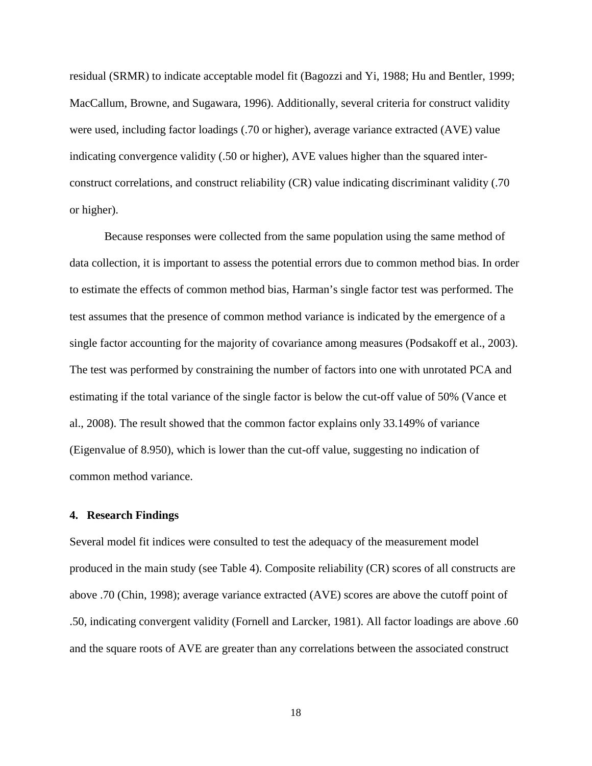residual (SRMR) to indicate acceptable model fit (Bagozzi and Yi, 1988; Hu and Bentler, 1999; MacCallum, Browne, and Sugawara, 1996). Additionally, several criteria for construct validity were used, including factor loadings (.70 or higher), average variance extracted (AVE) value indicating convergence validity (.50 or higher), AVE values higher than the squared interconstruct correlations, and construct reliability (CR) value indicating discriminant validity (.70 or higher).

Because responses were collected from the same population using the same method of data collection, it is important to assess the potential errors due to common method bias. In order to estimate the effects of common method bias, Harman's single factor test was performed. The test assumes that the presence of common method variance is indicated by the emergence of a single factor accounting for the majority of covariance among measures (Podsakoff et al., 2003). The test was performed by constraining the number of factors into one with unrotated PCA and estimating if the total variance of the single factor is below the cut-off value of 50% (Vance et al., 2008). The result showed that the common factor explains only 33.149% of variance (Eigenvalue of 8.950), which is lower than the cut-off value, suggesting no indication of common method variance.

# **4. Research Findings**

Several model fit indices were consulted to test the adequacy of the measurement model produced in the main study (see Table 4). Composite reliability (CR) scores of all constructs are above .70 (Chin, 1998); average variance extracted (AVE) scores are above the cutoff point of .50, indicating convergent validity (Fornell and Larcker, 1981). All factor loadings are above .60 and the square roots of AVE are greater than any correlations between the associated construct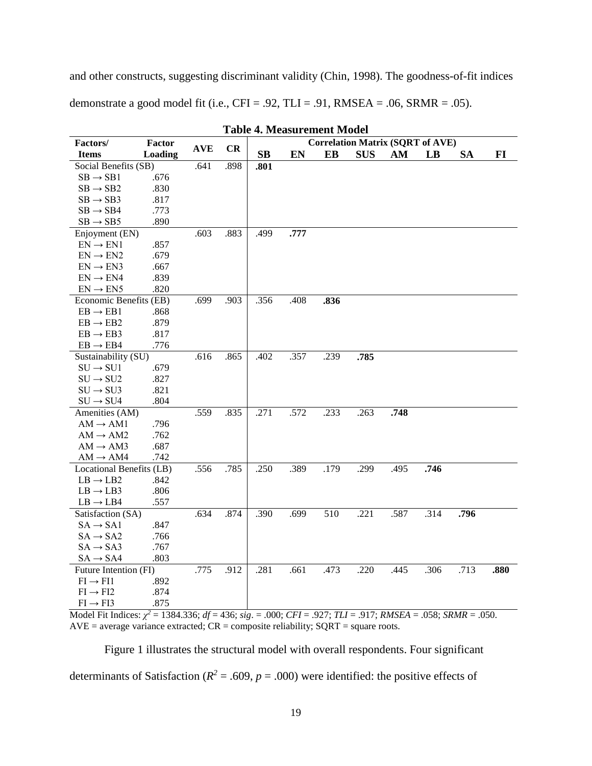and other constructs, suggesting discriminant validity (Chin, 1998). The goodness-of-fit indices demonstrate a good model fit (i.e.,  $CFI = .92$ ,  $TLI = .91$ ,  $RMSEA = .06$ ,  $SRMR = .05$ ).

| Factors/                 | Factor  |            |      |                        |      |      | <b>Correlation Matrix (SQRT of AVE)</b> |      |      |           |      |
|--------------------------|---------|------------|------|------------------------|------|------|-----------------------------------------|------|------|-----------|------|
| <b>Items</b>             | Loading | <b>AVE</b> | CR   | $\mathbf{S}\mathbf{B}$ | EN   | EB   | <b>SUS</b>                              | AM   | LВ   | <b>SA</b> | FI   |
| Social Benefits (SB)     |         | .641       | .898 | .801                   |      |      |                                         |      |      |           |      |
| $SB \rightarrow SB1$     | .676    |            |      |                        |      |      |                                         |      |      |           |      |
| $SB \rightarrow SB2$     | .830    |            |      |                        |      |      |                                         |      |      |           |      |
| $SB \rightarrow SB3$     | .817    |            |      |                        |      |      |                                         |      |      |           |      |
| $SB \rightarrow SB4$     | .773    |            |      |                        |      |      |                                         |      |      |           |      |
| $SB \rightarrow SB5$     | .890    |            |      |                        |      |      |                                         |      |      |           |      |
| Enjoyment (EN)           |         | .603       | .883 | .499                   | .777 |      |                                         |      |      |           |      |
| $EN \rightarrow EN1$     | .857    |            |      |                        |      |      |                                         |      |      |           |      |
| $EN \rightarrow EN2$     | .679    |            |      |                        |      |      |                                         |      |      |           |      |
| $EN \rightarrow EN3$     | .667    |            |      |                        |      |      |                                         |      |      |           |      |
| $EN \rightarrow EN4$     | .839    |            |      |                        |      |      |                                         |      |      |           |      |
| $EN \rightarrow EN5$     | .820    |            |      |                        |      |      |                                         |      |      |           |      |
| Economic Benefits (EB)   |         | .699       | .903 | .356                   | .408 | .836 |                                         |      |      |           |      |
| $EB \rightarrow EB1$     | .868    |            |      |                        |      |      |                                         |      |      |           |      |
| $EB \rightarrow EB2$     | .879    |            |      |                        |      |      |                                         |      |      |           |      |
| $EB \rightarrow EB3$     | .817    |            |      |                        |      |      |                                         |      |      |           |      |
| $EB \rightarrow EB4$     | .776    |            |      |                        |      |      |                                         |      |      |           |      |
| Sustainability (SU)      |         | .616       | .865 | .402                   | .357 | .239 | .785                                    |      |      |           |      |
| $SU \rightarrow SU1$     | .679    |            |      |                        |      |      |                                         |      |      |           |      |
| $SU \rightarrow SU2$     | .827    |            |      |                        |      |      |                                         |      |      |           |      |
| $SU \rightarrow SU3$     | .821    |            |      |                        |      |      |                                         |      |      |           |      |
| $SU \rightarrow SU4$     | .804    |            |      |                        |      |      |                                         |      |      |           |      |
| Amenities (AM)           |         | .559       | .835 | .271                   | .572 | .233 | .263                                    | .748 |      |           |      |
| $AM \rightarrow AM1$     | .796    |            |      |                        |      |      |                                         |      |      |           |      |
| $AM \rightarrow AM2$     | .762    |            |      |                        |      |      |                                         |      |      |           |      |
| $AM \rightarrow AM3$     | .687    |            |      |                        |      |      |                                         |      |      |           |      |
| $AM \rightarrow AM4$     | .742    |            |      |                        |      |      |                                         |      |      |           |      |
| Locational Benefits (LB) |         | .556       | .785 | .250                   | .389 | .179 | .299                                    | .495 | .746 |           |      |
| $LB \rightarrow LB2$     | .842    |            |      |                        |      |      |                                         |      |      |           |      |
| $LB \rightarrow LB3$     | .806    |            |      |                        |      |      |                                         |      |      |           |      |
| $LB \rightarrow LB4$     | .557    |            |      |                        |      |      |                                         |      |      |           |      |
| Satisfaction (SA)        |         | .634       | .874 | .390                   | .699 | 510  | .221                                    | .587 | .314 | .796      |      |
| $SA \rightarrow SA1$     | .847    |            |      |                        |      |      |                                         |      |      |           |      |
| $SA \rightarrow SA2$     | .766    |            |      |                        |      |      |                                         |      |      |           |      |
| $SA \rightarrow SA3$     | .767    |            |      |                        |      |      |                                         |      |      |           |      |
| $SA \rightarrow SA4$     | .803    |            |      |                        |      |      |                                         |      |      |           |      |
| Future Intention (FI)    |         | .775       | .912 | .281                   | .661 | .473 | .220                                    | .445 | .306 | .713      | .880 |
| $FI \rightarrow FI1$     | .892    |            |      |                        |      |      |                                         |      |      |           |      |
| $FI \rightarrow FI2$     | .874    |            |      |                        |      |      |                                         |      |      |           |      |
| $FI \rightarrow FI3$     | .875    |            |      |                        |      |      |                                         |      |      |           |      |

**Table 4. Measurement Model**

Model Fit Indices: *χ<sup>2</sup>* = 1384.336; *df* = 436; *sig*. = .000; *CFI* = .927; *TLI* = .917; *RMSEA* = .058; *SRMR* = .050.  $AVE = average variance extracted; CR = composite reliability; SQRT = square roots.$ 

Figure 1 illustrates the structural model with overall respondents. Four significant determinants of Satisfaction ( $R^2$  = .609,  $p$  = .000) were identified: the positive effects of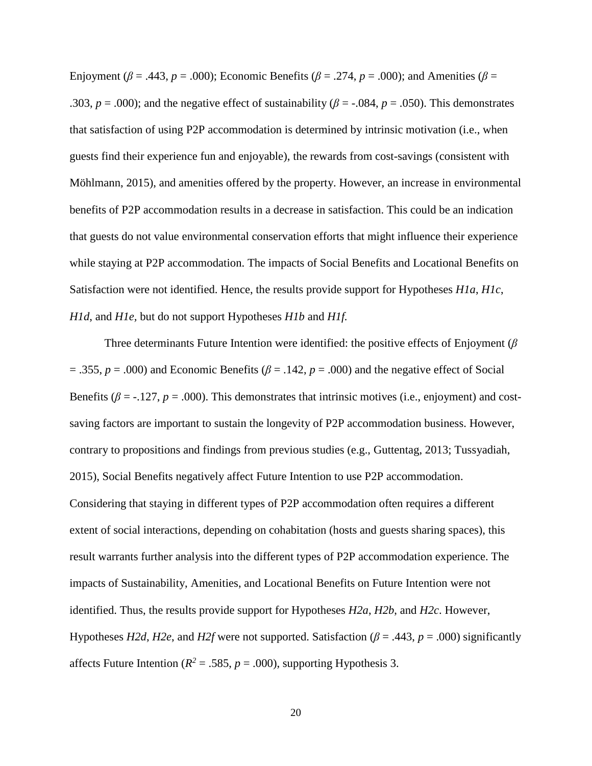Enjoyment ( $\beta$  = .443,  $p$  = .000); Economic Benefits ( $\beta$  = .274,  $p$  = .000); and Amenities ( $\beta$  = .303,  $p = .000$ ; and the negative effect of sustainability ( $\beta = .084$ ,  $p = .050$ ). This demonstrates that satisfaction of using P2P accommodation is determined by intrinsic motivation (i.e., when guests find their experience fun and enjoyable), the rewards from cost-savings (consistent with Möhlmann, 2015), and amenities offered by the property. However, an increase in environmental benefits of P2P accommodation results in a decrease in satisfaction. This could be an indication that guests do not value environmental conservation efforts that might influence their experience while staying at P2P accommodation. The impacts of Social Benefits and Locational Benefits on Satisfaction were not identified. Hence, the results provide support for Hypotheses *H1a*, *H1c*, *H1d*, and *H1e,* but do not support Hypotheses *H1b* and *H1f.*

Three determinants Future Intention were identified: the positive effects of Enjoyment (*β*   $= .355, p = .000$ ) and Economic Benefits ( $\beta = .142, p = .000$ ) and the negative effect of Social Benefits ( $\beta$  = -.127,  $p$  = .000). This demonstrates that intrinsic motives (i.e., enjoyment) and costsaving factors are important to sustain the longevity of P2P accommodation business. However, contrary to propositions and findings from previous studies (e.g., Guttentag, 2013; Tussyadiah, 2015), Social Benefits negatively affect Future Intention to use P2P accommodation. Considering that staying in different types of P2P accommodation often requires a different extent of social interactions, depending on cohabitation (hosts and guests sharing spaces), this result warrants further analysis into the different types of P2P accommodation experience. The impacts of Sustainability, Amenities, and Locational Benefits on Future Intention were not identified. Thus, the results provide support for Hypotheses *H2a*, *H2b*, and *H2c*. However, Hypotheses *H2d*, *H2e*, and *H2f* were not supported. Satisfaction ( $\beta$  = .443,  $p$  = .000) significantly affects Future Intention ( $R^2 = .585$ ,  $p = .000$ ), supporting Hypothesis 3.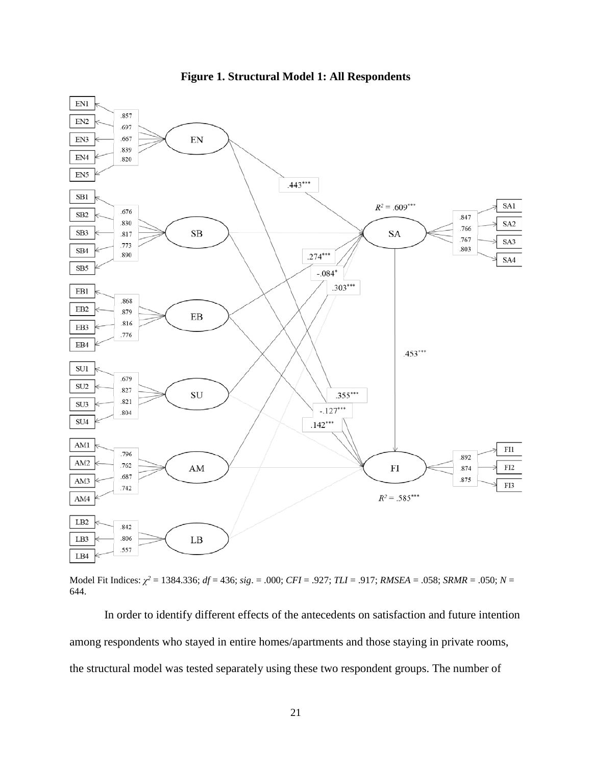

**Figure 1. Structural Model 1: All Respondents**

Model Fit Indices: *χ<sup>2</sup>* = 1384.336; *df* = 436; *sig*. = .000; *CFI* = .927; *TLI* = .917; *RMSEA* = .058; *SRMR* = .050; *N* = 644.

In order to identify different effects of the antecedents on satisfaction and future intention among respondents who stayed in entire homes/apartments and those staying in private rooms, the structural model was tested separately using these two respondent groups. The number of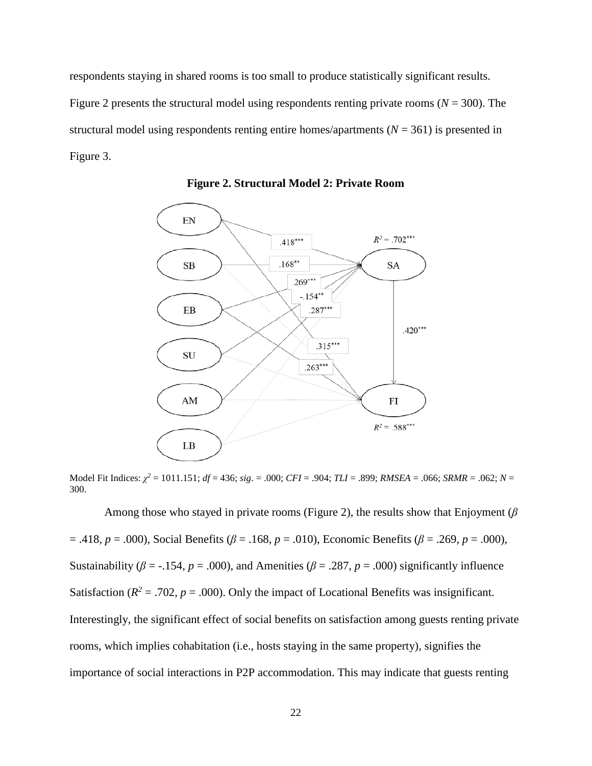respondents staying in shared rooms is too small to produce statistically significant results.

Figure 2 presents the structural model using respondents renting private rooms ( $N = 300$ ). The structural model using respondents renting entire homes/apartments  $(N = 361)$  is presented in Figure 3.



**Figure 2. Structural Model 2: Private Room**

Model Fit Indices: *χ<sup>2</sup>* = 1011.151; *df* = 436; *sig*. = .000; *CFI* = .904; *TLI* = .899; *RMSEA* = .066; *SRMR* = .062; *N* = 300.

Among those who stayed in private rooms (Figure 2), the results show that Enjoyment (*β*  = .418, *p* = .000), Social Benefits (*β* = .168, *p* = .010), Economic Benefits (*β* = .269, *p* = .000), Sustainability ( $\beta$  = -.154,  $p$  = .000), and Amenities ( $\beta$  = .287,  $p$  = .000) significantly influence Satisfaction ( $R^2 = .702$ ,  $p = .000$ ). Only the impact of Locational Benefits was insignificant. Interestingly, the significant effect of social benefits on satisfaction among guests renting private rooms, which implies cohabitation (i.e., hosts staying in the same property), signifies the importance of social interactions in P2P accommodation. This may indicate that guests renting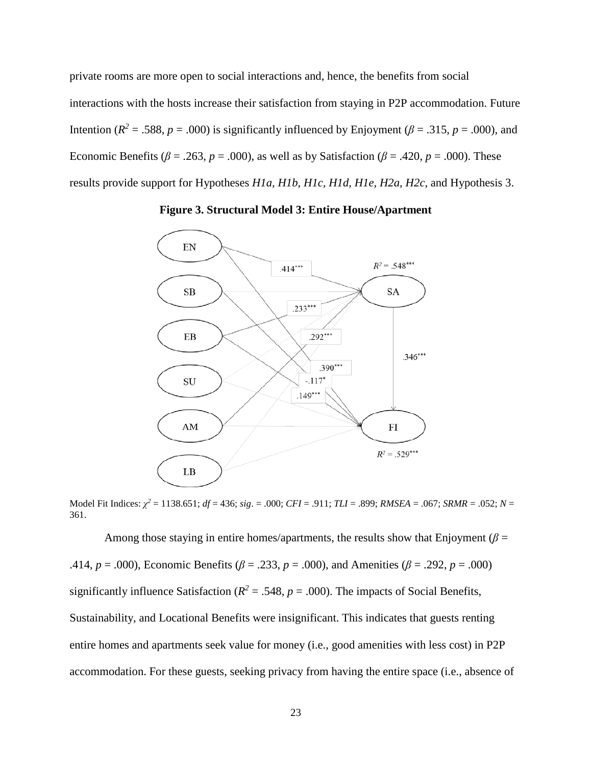private rooms are more open to social interactions and, hence, the benefits from social interactions with the hosts increase their satisfaction from staying in P2P accommodation. Future Intention ( $R^2 = .588$ ,  $p = .000$ ) is significantly influenced by Enjoyment ( $\beta = .315$ ,  $p = .000$ ), and Economic Benefits ( $\beta$  = .263,  $p$  = .000), as well as by Satisfaction ( $\beta$  = .420,  $p$  = .000). These results provide support for Hypotheses *H1a, H1b, H1c, H1d, H1e, H2a, H2c*, and Hypothesis 3.



**Figure 3. Structural Model 3: Entire House/Apartment**

Model Fit Indices: *χ<sup>2</sup>* = 1138.651; *df* = 436; *sig*. = .000; *CFI* = .911; *TLI* = .899; *RMSEA* = .067; *SRMR* = .052; *N* = 361.

Among those staying in entire homes/apartments, the results show that Enjoyment ( $\beta$  = .414, *p* = .000), Economic Benefits (*β* = .233, *p* = .000), and Amenities (*β* = .292, *p* = .000) significantly influence Satisfaction ( $R^2 = .548$ ,  $p = .000$ ). The impacts of Social Benefits, Sustainability, and Locational Benefits were insignificant. This indicates that guests renting entire homes and apartments seek value for money (i.e., good amenities with less cost) in P2P accommodation. For these guests, seeking privacy from having the entire space (i.e., absence of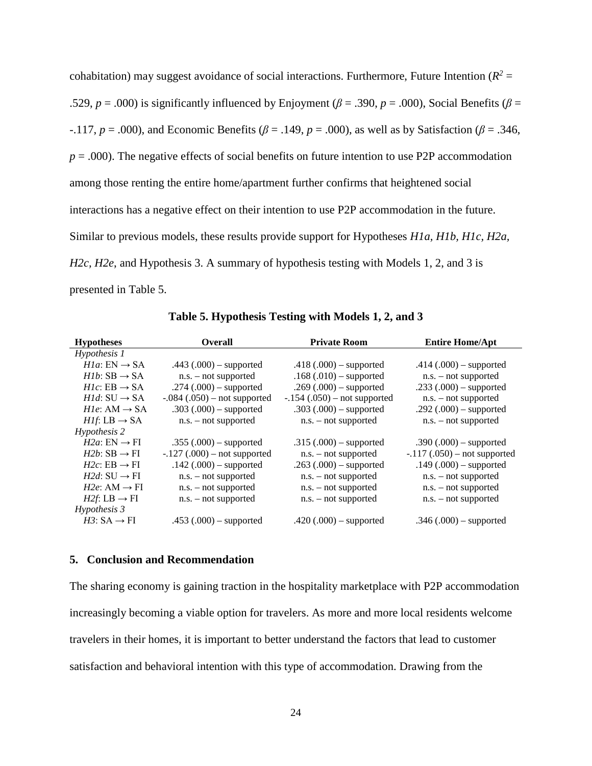cohabitation) may suggest avoidance of social interactions. Furthermore, Future Intention  $(R^2 =$ .529,  $p = .000$ ) is significantly influenced by Enjoyment ( $\beta = .390$ ,  $p = .000$ ), Social Benefits ( $\beta =$ -.117, *p* = .000), and Economic Benefits (*β* = .149, *p* = .000), as well as by Satisfaction (*β* = .346,  $p = .000$ ). The negative effects of social benefits on future intention to use P2P accommodation among those renting the entire home/apartment further confirms that heightened social interactions has a negative effect on their intention to use P2P accommodation in the future. Similar to previous models, these results provide support for Hypotheses *H1a, H1b, H1c, H2a, H2c, H2e*, and Hypothesis 3. A summary of hypothesis testing with Models 1, 2, and 3 is presented in Table 5.

| <b>Hypotheses</b>                           | <b>Overall</b>                | <b>Private Room</b>           | <b>Entire Home/Apt</b>        |
|---------------------------------------------|-------------------------------|-------------------------------|-------------------------------|
| Hypothesis 1                                |                               |                               |                               |
| $H1a: EN \rightarrow SA$                    | .443 $(.000)$ – supported     | .418 $(.000)$ – supported     | .414 $(.000)$ – supported     |
| $H1b: SB \rightarrow SA$                    | $n.s.$ – not supported        | $.168(.010) - supported$      | $n.s.$ – not supported        |
| $Hlc: EB \rightarrow SA$                    | .274 $(.000)$ – supported     | .269 $(.000)$ – supported     | .233 $(.000)$ – supported     |
| $H1d: SU \rightarrow SA$                    | $-.084(.050) - not supported$ | $-.154(.050) - not supported$ | n.s. - not supported          |
| $Hle: AM \rightarrow SA$                    | .303 $(.000)$ – supported     | .303 $(.000)$ – supported     | .292 $(.000)$ – supported     |
| <i>H<sub>If</sub></i> : LB $\rightarrow$ SA | $n.s.$ – not supported        | $n.s.$ – not supported        | $n.s.$ – not supported        |
| Hypothesis 2                                |                               |                               |                               |
| $H2a: EN \rightarrow FI$                    | .355 $(.000)$ – supported     | .315 $(.000)$ – supported     | .390 $(.000)$ – supported     |
| $H2b: SB \rightarrow FI$                    | $-.127(.000) - not supported$ | $n.s. - not supported$        | $-.117(.050) - not supported$ |
| $H2c$ : EB $\rightarrow$ FI                 | $.142(.000) - supported$      | $.263(.000) - supported$      | $.149(.000) - supported$      |
| $H2d$ : SU $\rightarrow$ FI                 | $n.s. - not supported$        | $n.s.$ – not supported        | $n.s.$ – not supported        |
| $H2e: AM \rightarrow FI$                    | $n.s. - not supported$        | $n.s. - not supported$        | $n.s. - not supported$        |
| $H2f$ : LB $\rightarrow$ FI                 | $n.s. - not supported$        | $n.s. - not supported$        | $n.s. - not supported$        |
| Hypothesis 3                                |                               |                               |                               |
| $H3: SA \rightarrow FI$                     | .453 $(.000)$ – supported     | $.420(.000) - supported$      | .346 $(.000)$ – supported     |

**Table 5. Hypothesis Testing with Models 1, 2, and 3**

## **5. Conclusion and Recommendation**

The sharing economy is gaining traction in the hospitality marketplace with P2P accommodation increasingly becoming a viable option for travelers. As more and more local residents welcome travelers in their homes, it is important to better understand the factors that lead to customer satisfaction and behavioral intention with this type of accommodation. Drawing from the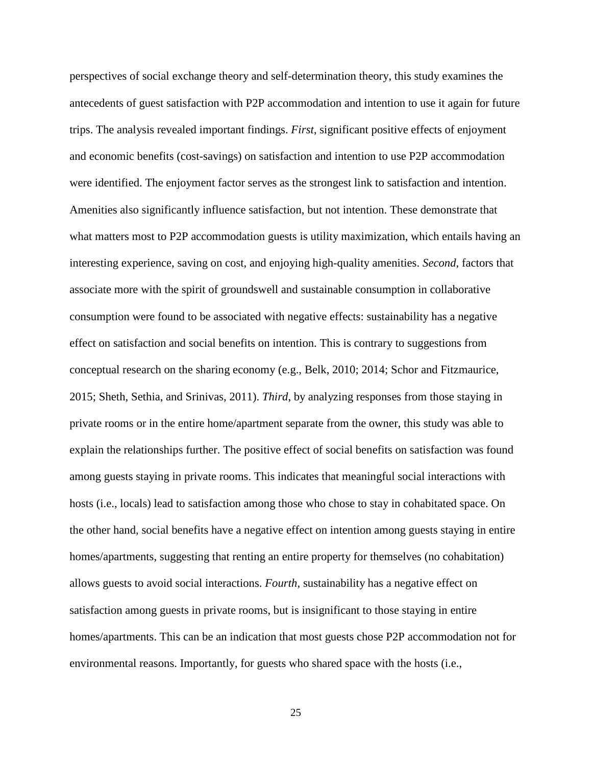perspectives of social exchange theory and self-determination theory, this study examines the antecedents of guest satisfaction with P2P accommodation and intention to use it again for future trips. The analysis revealed important findings. *First*, significant positive effects of enjoyment and economic benefits (cost-savings) on satisfaction and intention to use P2P accommodation were identified. The enjoyment factor serves as the strongest link to satisfaction and intention. Amenities also significantly influence satisfaction, but not intention. These demonstrate that what matters most to P2P accommodation guests is utility maximization, which entails having an interesting experience, saving on cost, and enjoying high-quality amenities. *Second*, factors that associate more with the spirit of groundswell and sustainable consumption in collaborative consumption were found to be associated with negative effects: sustainability has a negative effect on satisfaction and social benefits on intention. This is contrary to suggestions from conceptual research on the sharing economy (e.g., Belk, 2010; 2014; Schor and Fitzmaurice, 2015; Sheth, Sethia, and Srinivas, 2011). *Third*, by analyzing responses from those staying in private rooms or in the entire home/apartment separate from the owner, this study was able to explain the relationships further. The positive effect of social benefits on satisfaction was found among guests staying in private rooms. This indicates that meaningful social interactions with hosts (i.e., locals) lead to satisfaction among those who chose to stay in cohabitated space. On the other hand, social benefits have a negative effect on intention among guests staying in entire homes/apartments, suggesting that renting an entire property for themselves (no cohabitation) allows guests to avoid social interactions. *Fourth*, sustainability has a negative effect on satisfaction among guests in private rooms, but is insignificant to those staying in entire homes/apartments. This can be an indication that most guests chose P2P accommodation not for environmental reasons. Importantly, for guests who shared space with the hosts (i.e.,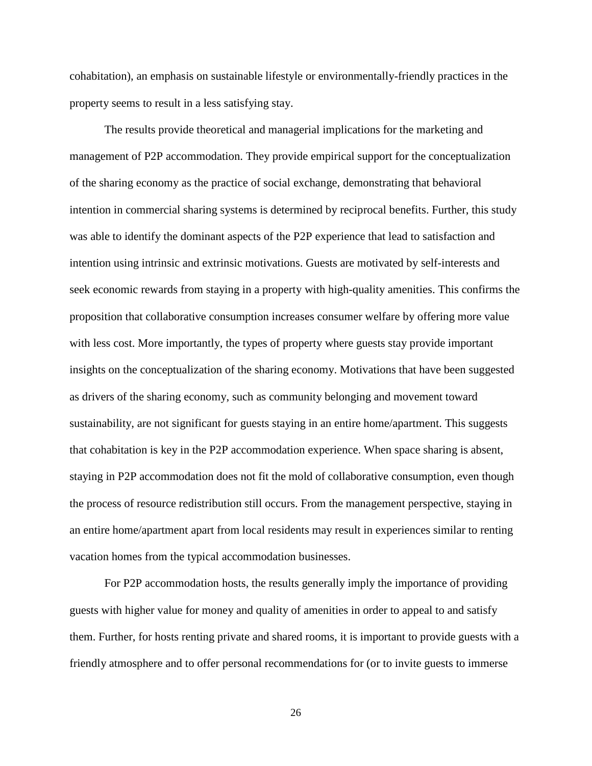cohabitation), an emphasis on sustainable lifestyle or environmentally-friendly practices in the property seems to result in a less satisfying stay.

The results provide theoretical and managerial implications for the marketing and management of P2P accommodation. They provide empirical support for the conceptualization of the sharing economy as the practice of social exchange, demonstrating that behavioral intention in commercial sharing systems is determined by reciprocal benefits. Further, this study was able to identify the dominant aspects of the P2P experience that lead to satisfaction and intention using intrinsic and extrinsic motivations. Guests are motivated by self-interests and seek economic rewards from staying in a property with high-quality amenities. This confirms the proposition that collaborative consumption increases consumer welfare by offering more value with less cost. More importantly, the types of property where guests stay provide important insights on the conceptualization of the sharing economy. Motivations that have been suggested as drivers of the sharing economy, such as community belonging and movement toward sustainability, are not significant for guests staying in an entire home/apartment. This suggests that cohabitation is key in the P2P accommodation experience. When space sharing is absent, staying in P2P accommodation does not fit the mold of collaborative consumption, even though the process of resource redistribution still occurs. From the management perspective, staying in an entire home/apartment apart from local residents may result in experiences similar to renting vacation homes from the typical accommodation businesses.

For P2P accommodation hosts, the results generally imply the importance of providing guests with higher value for money and quality of amenities in order to appeal to and satisfy them. Further, for hosts renting private and shared rooms, it is important to provide guests with a friendly atmosphere and to offer personal recommendations for (or to invite guests to immerse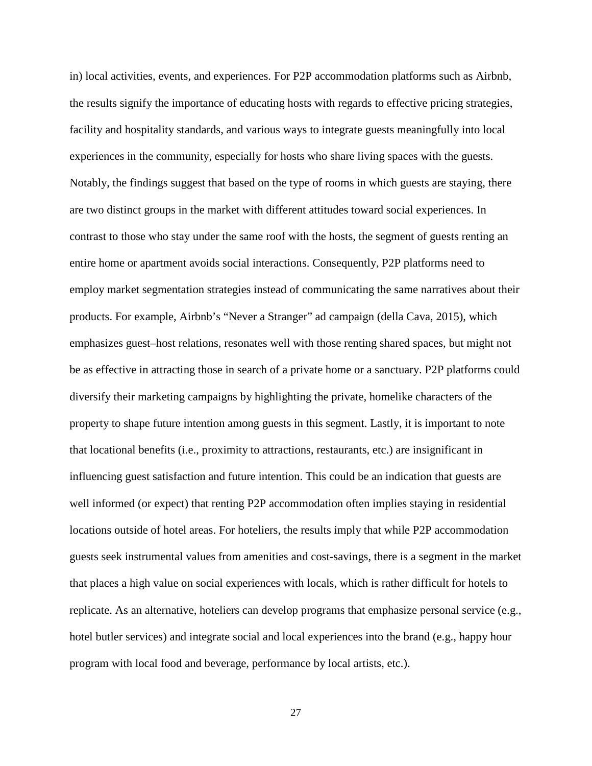in) local activities, events, and experiences. For P2P accommodation platforms such as Airbnb, the results signify the importance of educating hosts with regards to effective pricing strategies, facility and hospitality standards, and various ways to integrate guests meaningfully into local experiences in the community, especially for hosts who share living spaces with the guests. Notably, the findings suggest that based on the type of rooms in which guests are staying, there are two distinct groups in the market with different attitudes toward social experiences. In contrast to those who stay under the same roof with the hosts, the segment of guests renting an entire home or apartment avoids social interactions. Consequently, P2P platforms need to employ market segmentation strategies instead of communicating the same narratives about their products. For example, Airbnb's "Never a Stranger" ad campaign (della Cava, 2015), which emphasizes guest–host relations, resonates well with those renting shared spaces, but might not be as effective in attracting those in search of a private home or a sanctuary. P2P platforms could diversify their marketing campaigns by highlighting the private, homelike characters of the property to shape future intention among guests in this segment. Lastly, it is important to note that locational benefits (i.e., proximity to attractions, restaurants, etc.) are insignificant in influencing guest satisfaction and future intention. This could be an indication that guests are well informed (or expect) that renting P2P accommodation often implies staying in residential locations outside of hotel areas. For hoteliers, the results imply that while P2P accommodation guests seek instrumental values from amenities and cost-savings, there is a segment in the market that places a high value on social experiences with locals, which is rather difficult for hotels to replicate. As an alternative, hoteliers can develop programs that emphasize personal service (e.g., hotel butler services) and integrate social and local experiences into the brand (e.g., happy hour program with local food and beverage, performance by local artists, etc.).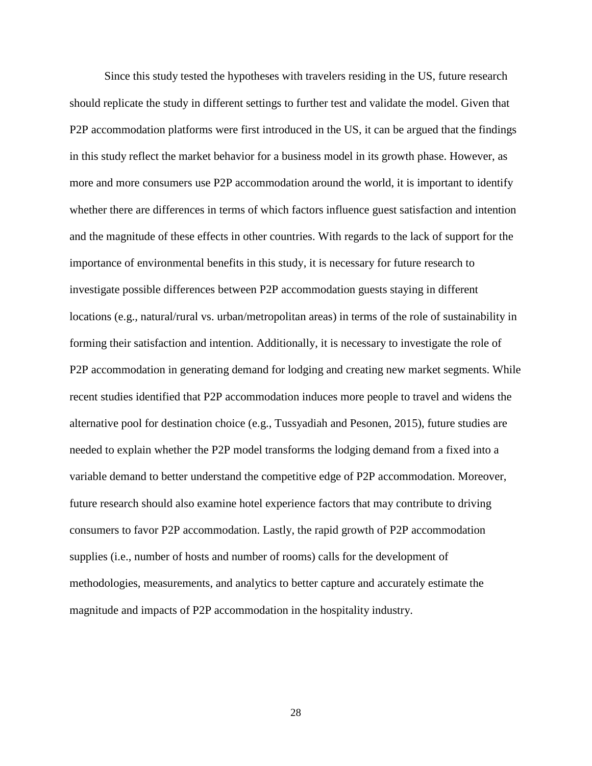Since this study tested the hypotheses with travelers residing in the US, future research should replicate the study in different settings to further test and validate the model. Given that P2P accommodation platforms were first introduced in the US, it can be argued that the findings in this study reflect the market behavior for a business model in its growth phase. However, as more and more consumers use P2P accommodation around the world, it is important to identify whether there are differences in terms of which factors influence guest satisfaction and intention and the magnitude of these effects in other countries. With regards to the lack of support for the importance of environmental benefits in this study, it is necessary for future research to investigate possible differences between P2P accommodation guests staying in different locations (e.g., natural/rural vs. urban/metropolitan areas) in terms of the role of sustainability in forming their satisfaction and intention. Additionally, it is necessary to investigate the role of P2P accommodation in generating demand for lodging and creating new market segments. While recent studies identified that P2P accommodation induces more people to travel and widens the alternative pool for destination choice (e.g., Tussyadiah and Pesonen, 2015), future studies are needed to explain whether the P2P model transforms the lodging demand from a fixed into a variable demand to better understand the competitive edge of P2P accommodation. Moreover, future research should also examine hotel experience factors that may contribute to driving consumers to favor P2P accommodation. Lastly, the rapid growth of P2P accommodation supplies (i.e., number of hosts and number of rooms) calls for the development of methodologies, measurements, and analytics to better capture and accurately estimate the magnitude and impacts of P2P accommodation in the hospitality industry.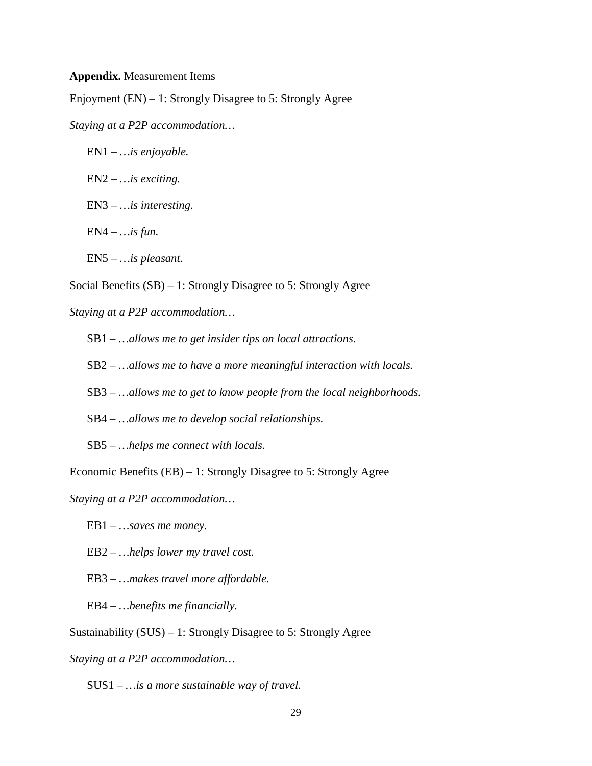### **Appendix.** Measurement Items

Enjoyment (EN) – 1: Strongly Disagree to 5: Strongly Agree

*Staying at a P2P accommodation…*

EN1 – *…is enjoyable.*

EN2 – *…is exciting.* 

EN3 – *…is interesting.*

EN4 – *…is fun.* 

EN5 – *…is pleasant.*

Social Benefits (SB) – 1: Strongly Disagree to 5: Strongly Agree

*Staying at a P2P accommodation…*

SB1 – *…allows me to get insider tips on local attractions.* 

SB2 – *…allows me to have a more meaningful interaction with locals.*

SB3 – *…allows me to get to know people from the local neighborhoods.* 

SB4 – *…allows me to develop social relationships.* 

SB5 – *…helps me connect with locals.* 

Economic Benefits (EB) – 1: Strongly Disagree to 5: Strongly Agree

*Staying at a P2P accommodation…*

EB1 – *…saves me money.*

EB2 – *…helps lower my travel cost.*

EB3 – *…makes travel more affordable.*

EB4 – *…benefits me financially.* 

Sustainability (SUS) – 1: Strongly Disagree to 5: Strongly Agree

*Staying at a P2P accommodation…*

SUS1 – *…is a more sustainable way of travel.*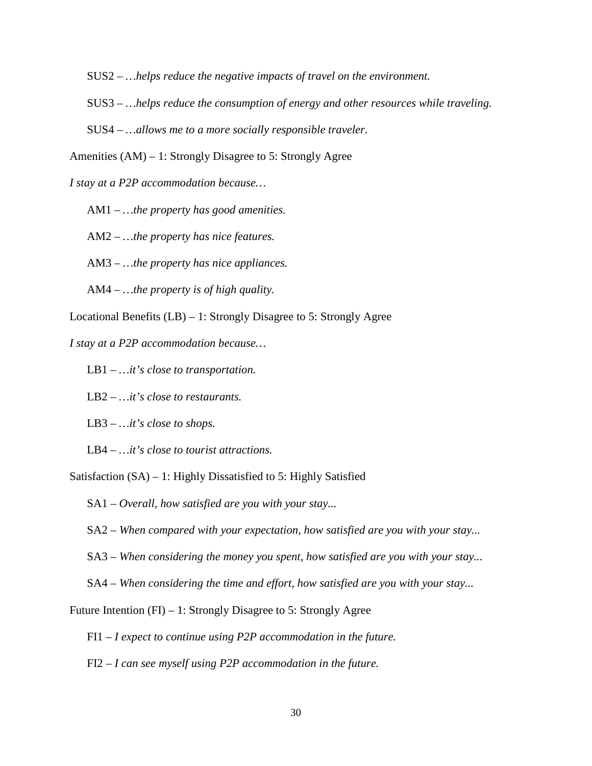SUS2 – *…helps reduce the negative impacts of travel on the environment.*

SUS3 – *…helps reduce the consumption of energy and other resources while traveling.*

SUS4 – *…allows me to a more socially responsible traveler.*

Amenities (AM) – 1: Strongly Disagree to 5: Strongly Agree

*I stay at a P2P accommodation because…*

AM1 – *…the property has good amenities.*

AM2 – *…the property has nice features.* 

AM3 – *…the property has nice appliances.* 

AM4 – *…the property is of high quality.*

Locational Benefits (LB) – 1: Strongly Disagree to 5: Strongly Agree

*I stay at a P2P accommodation because…*

LB1 – *…it's close to transportation.*

LB2 – *…it's close to restaurants.* 

LB3 – *…it's close to shops.*

LB4 – *…it's close to tourist attractions.*

Satisfaction (SA) – 1: Highly Dissatisfied to 5: Highly Satisfied

SA1 – *Overall, how satisfied are you with your stay...*

SA2 – *When compared with your expectation, how satisfied are you with your stay...*

SA3 – *When considering the money you spent, how satisfied are you with your stay...*

SA4 – *When considering the time and effort, how satisfied are you with your stay...*

Future Intention (FI) – 1: Strongly Disagree to 5: Strongly Agree

FI1 – *I expect to continue using P2P accommodation in the future.*

FI2 – *I can see myself using P2P accommodation in the future.*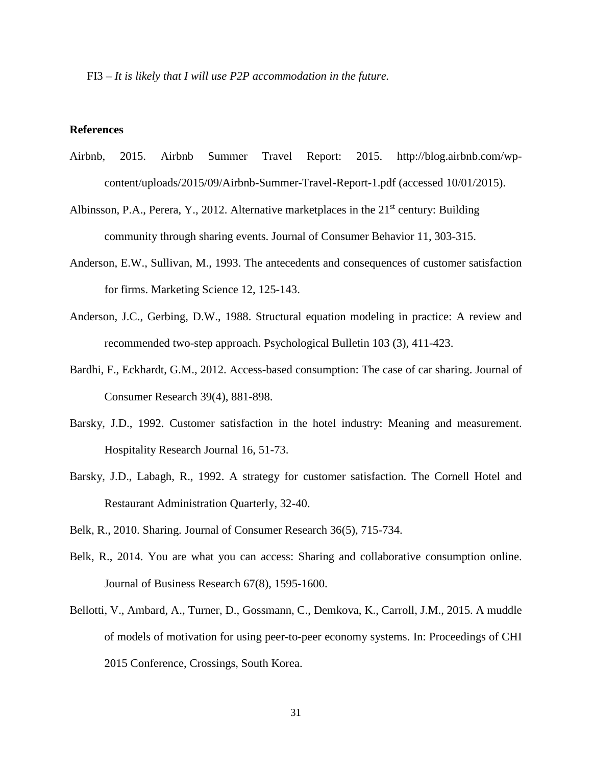FI3 – *It is likely that I will use P2P accommodation in the future.*

# **References**

- Airbnb, 2015. Airbnb Summer Travel Report: 2015. http://blog.airbnb.com/wpcontent/uploads/2015/09/Airbnb-Summer-Travel-Report-1.pdf (accessed 10/01/2015).
- Albinsson, P.A., Perera, Y., 2012. Alternative marketplaces in the  $21<sup>st</sup>$  century: Building community through sharing events. Journal of Consumer Behavior 11, 303-315.
- Anderson, E.W., Sullivan, M., 1993. The antecedents and consequences of customer satisfaction for firms. Marketing Science 12, 125-143.
- Anderson, J.C., Gerbing, D.W., 1988. Structural equation modeling in practice: A review and recommended two-step approach. Psychological Bulletin 103 (3), 411-423.
- Bardhi, F., Eckhardt, G.M., 2012. Access-based consumption: The case of car sharing. Journal of Consumer Research 39(4), 881-898.
- Barsky, J.D., 1992. Customer satisfaction in the hotel industry: Meaning and measurement. Hospitality Research Journal 16, 51-73.
- Barsky, J.D., Labagh, R., 1992. A strategy for customer satisfaction. The Cornell Hotel and Restaurant Administration Quarterly, 32-40.
- Belk, R., 2010. Sharing. Journal of Consumer Research 36(5), 715-734.
- Belk, R., 2014. You are what you can access: Sharing and collaborative consumption online. Journal of Business Research 67(8), 1595-1600.
- Bellotti, V., Ambard, A., Turner, D., Gossmann, C., Demkova, K., Carroll, J.M., 2015. A muddle of models of motivation for using peer-to-peer economy systems. In: Proceedings of CHI 2015 Conference, Crossings, South Korea.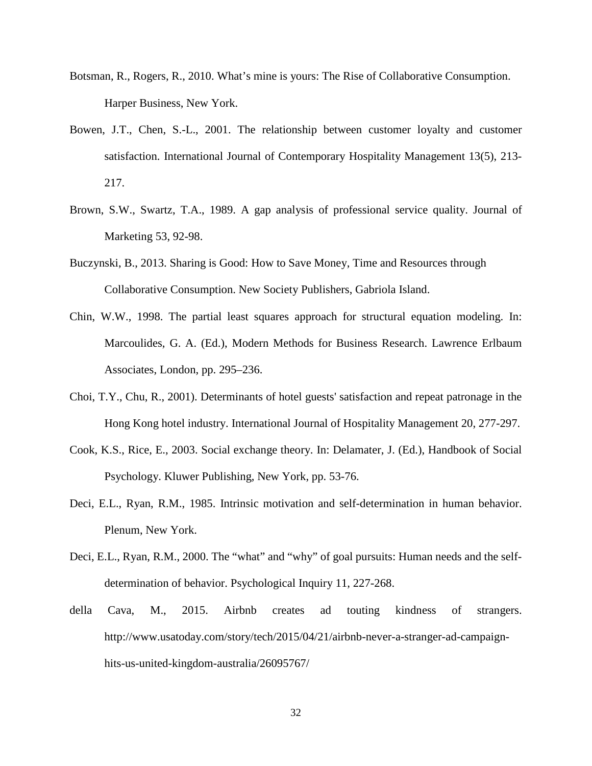- Botsman, R., Rogers, R., 2010. What's mine is yours: The Rise of Collaborative Consumption. Harper Business, New York.
- Bowen, J.T., Chen, S.-L., 2001. The relationship between customer loyalty and customer satisfaction. International Journal of Contemporary Hospitality Management 13(5), 213- 217.
- Brown, S.W., Swartz, T.A., 1989. A gap analysis of professional service quality. Journal of Marketing 53, 92-98.
- Buczynski, B., 2013. Sharing is Good: How to Save Money, Time and Resources through Collaborative Consumption. New Society Publishers, Gabriola Island.
- Chin, W.W., 1998. The partial least squares approach for structural equation modeling. In: Marcoulides, G. A. (Ed.), Modern Methods for Business Research. Lawrence Erlbaum Associates, London, pp. 295–236.
- Choi, T.Y., Chu, R., 2001). Determinants of hotel guests' satisfaction and repeat patronage in the Hong Kong hotel industry. International Journal of Hospitality Management 20, 277-297.
- Cook, K.S., Rice, E., 2003. Social exchange theory. In: Delamater, J. (Ed.), Handbook of Social Psychology. Kluwer Publishing, New York, pp. 53-76.
- Deci, E.L., Ryan, R.M., 1985. Intrinsic motivation and self-determination in human behavior. Plenum, New York.
- Deci, E.L., Ryan, R.M., 2000. The "what" and "why" of goal pursuits: Human needs and the selfdetermination of behavior. Psychological Inquiry 11, 227-268.
- della Cava, M., 2015. Airbnb creates ad touting kindness of strangers. http://www.usatoday.com/story/tech/2015/04/21/airbnb-never-a-stranger-ad-campaignhits-us-united-kingdom-australia/26095767/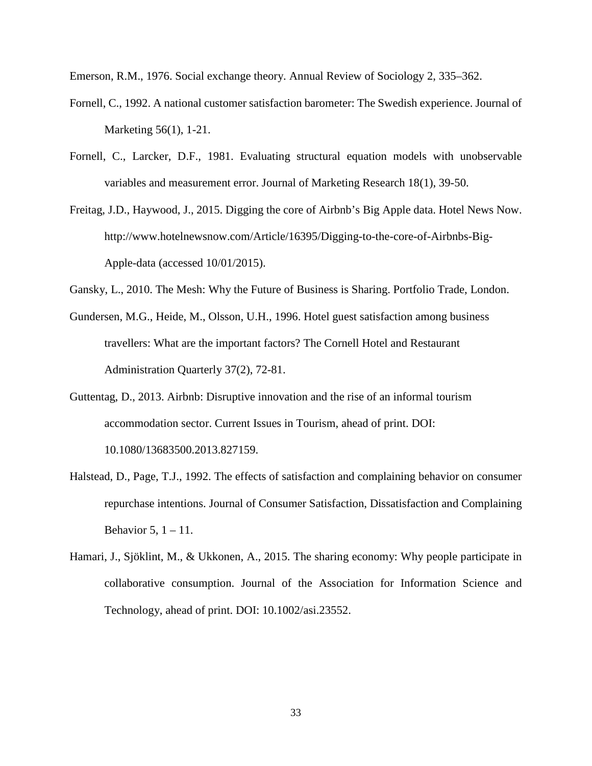Emerson, R.M., 1976. Social exchange theory. Annual Review of Sociology 2, 335–362.

- Fornell, C., 1992. A national customer satisfaction barometer: The Swedish experience. Journal of Marketing 56(1), 1-21.
- Fornell, C., Larcker, D.F., 1981. Evaluating structural equation models with unobservable variables and measurement error. Journal of Marketing Research 18(1), 39-50.
- Freitag, J.D., Haywood, J., 2015. Digging the core of Airbnb's Big Apple data. Hotel News Now. http://www.hotelnewsnow.com/Article/16395/Digging-to-the-core-of-Airbnbs-Big-Apple-data (accessed 10/01/2015).
- Gansky, L., 2010. The Mesh: Why the Future of Business is Sharing. Portfolio Trade, London.
- Gundersen, M.G., Heide, M., Olsson, U.H., 1996. Hotel guest satisfaction among business travellers: What are the important factors? The Cornell Hotel and Restaurant Administration Quarterly 37(2), 72-81.
- Guttentag, D., 2013. Airbnb: Disruptive innovation and the rise of an informal tourism accommodation sector. Current Issues in Tourism, ahead of print. DOI: 10.1080/13683500.2013.827159.
- Halstead, D., Page, T.J., 1992. The effects of satisfaction and complaining behavior on consumer repurchase intentions. Journal of Consumer Satisfaction, Dissatisfaction and Complaining Behavior 5,  $1 - 11$ .
- Hamari, J., Sjöklint, M., & Ukkonen, A., 2015. The sharing economy: Why people participate in collaborative consumption. Journal of the Association for Information Science and Technology, ahead of print. DOI: 10.1002/asi.23552.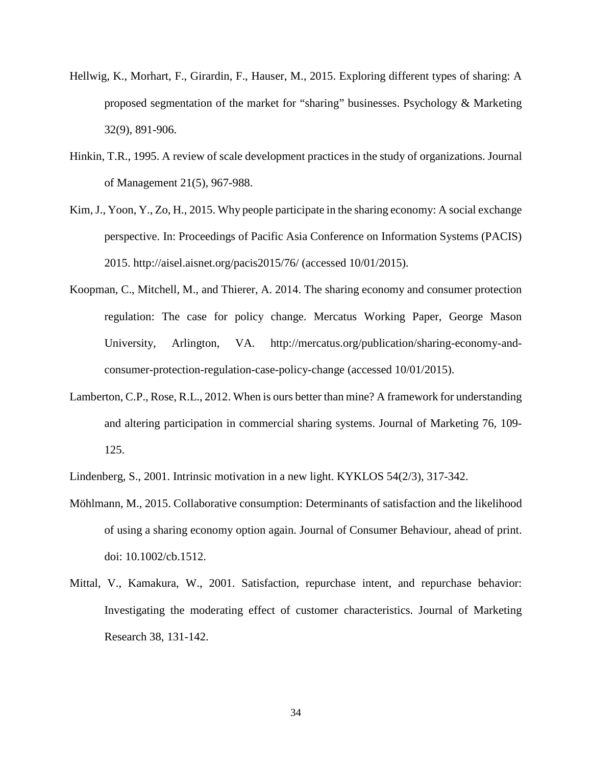- Hellwig, K., Morhart, F., Girardin, F., Hauser, M., 2015. Exploring different types of sharing: A proposed segmentation of the market for "sharing" businesses. Psychology & Marketing 32(9), 891-906.
- Hinkin, T.R., 1995. A review of scale development practices in the study of organizations. Journal of Management 21(5), 967-988.
- Kim, J., Yoon, Y., Zo, H., 2015. Why people participate in the sharing economy: A social exchange perspective. In: Proceedings of Pacific Asia Conference on Information Systems (PACIS) 2015. http://aisel.aisnet.org/pacis2015/76/ (accessed 10/01/2015).
- Koopman, C., Mitchell, M., and Thierer, A. 2014. The sharing economy and consumer protection regulation: The case for policy change. Mercatus Working Paper, George Mason University, Arlington, VA. http://mercatus.org/publication/sharing-economy-andconsumer-protection-regulation-case-policy-change (accessed 10/01/2015).
- Lamberton, C.P., Rose, R.L., 2012. When is ours better than mine? A framework for understanding and altering participation in commercial sharing systems. Journal of Marketing 76, 109- 125.
- Lindenberg, S., 2001. Intrinsic motivation in a new light. KYKLOS 54(2/3), 317-342.
- Möhlmann, M., 2015. Collaborative consumption: Determinants of satisfaction and the likelihood of using a sharing economy option again. Journal of Consumer Behaviour, ahead of print. doi: 10.1002/cb.1512.
- Mittal, V., Kamakura, W., 2001. Satisfaction, repurchase intent, and repurchase behavior: Investigating the moderating effect of customer characteristics. Journal of Marketing Research 38, 131-142.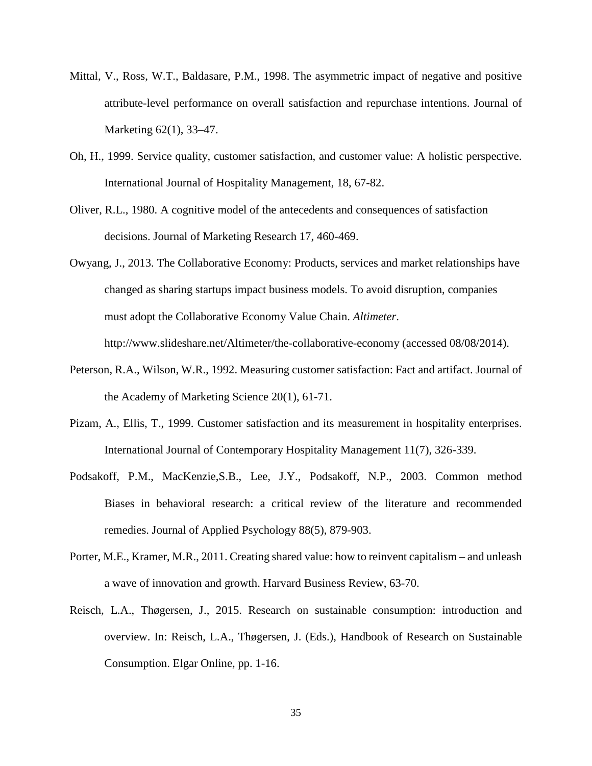- Mittal, V., Ross, W.T., Baldasare, P.M., 1998. The asymmetric impact of negative and positive attribute-level performance on overall satisfaction and repurchase intentions. Journal of Marketing 62(1), 33–47.
- Oh, H., 1999. Service quality, customer satisfaction, and customer value: A holistic perspective. International Journal of Hospitality Management, 18, 67-82.
- Oliver, R.L., 1980. A cognitive model of the antecedents and consequences of satisfaction decisions. Journal of Marketing Research 17, 460-469.
- Owyang, J., 2013. The Collaborative Economy: Products, services and market relationships have changed as sharing startups impact business models. To avoid disruption, companies must adopt the Collaborative Economy Value Chain. *Altimeter*. http://www.slideshare.net/Altimeter/the-collaborative-economy (accessed 08/08/2014).
- Peterson, R.A., Wilson, W.R., 1992. Measuring customer satisfaction: Fact and artifact. Journal of the Academy of Marketing Science 20(1), 61-71.
- Pizam, A., Ellis, T., 1999. Customer satisfaction and its measurement in hospitality enterprises. International Journal of Contemporary Hospitality Management 11(7), 326-339.
- Podsakoff, P.M., MacKenzie,S.B., Lee, J.Y., Podsakoff, N.P., 2003. Common method Biases in behavioral research: a critical review of the literature and recommended remedies. Journal of Applied Psychology 88(5), 879-903.
- Porter, M.E., Kramer, M.R., 2011. Creating shared value: how to reinvent capitalism and unleash a wave of innovation and growth. Harvard Business Review, 63-70.
- Reisch, L.A., Thøgersen, J., 2015. Research on sustainable consumption: introduction and overview. In: Reisch, L.A., Thøgersen, J. (Eds.), Handbook of Research on Sustainable Consumption. Elgar Online, pp. 1-16.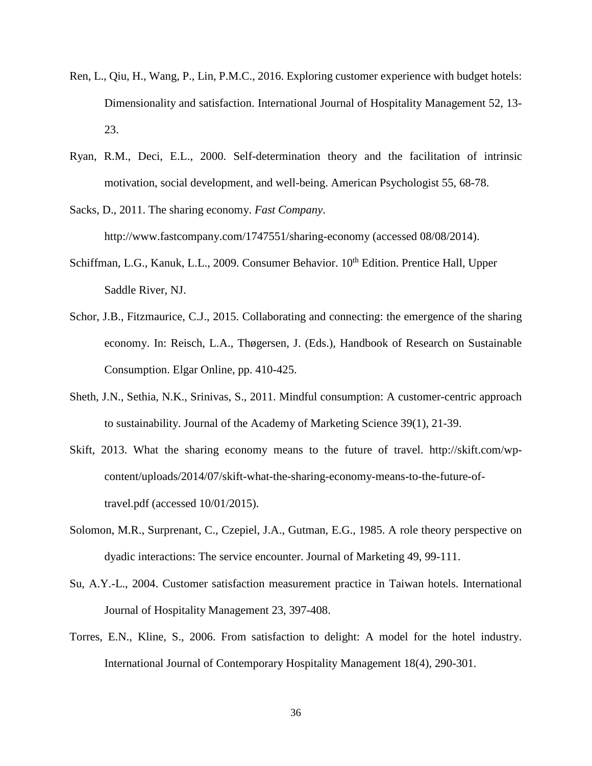- Ren, L., Qiu, H., Wang, P., Lin, P.M.C., 2016. Exploring customer experience with budget hotels: Dimensionality and satisfaction. International Journal of Hospitality Management 52, 13- 23.
- Ryan, R.M., Deci, E.L., 2000. Self-determination theory and the facilitation of intrinsic motivation, social development, and well-being. American Psychologist 55, 68-78.
- Sacks, D., 2011. The sharing economy. *Fast Company*. http://www.fastcompany.com/1747551/sharing-economy (accessed 08/08/2014).
- Schiffman, L.G., Kanuk, L.L., 2009. Consumer Behavior.  $10<sup>th</sup>$  Edition. Prentice Hall, Upper Saddle River, NJ.
- Schor, J.B., Fitzmaurice, C.J., 2015. Collaborating and connecting: the emergence of the sharing economy. In: Reisch, L.A., Thøgersen, J. (Eds.), Handbook of Research on Sustainable Consumption. Elgar Online, pp. 410-425.
- Sheth, J.N., Sethia, N.K., Srinivas, S., 2011. Mindful consumption: A customer-centric approach to sustainability. Journal of the Academy of Marketing Science 39(1), 21-39.
- Skift, 2013. What the sharing economy means to the future of travel. http://skift.com/wpcontent/uploads/2014/07/skift-what-the-sharing-economy-means-to-the-future-oftravel.pdf (accessed 10/01/2015).
- Solomon, M.R., Surprenant, C., Czepiel, J.A., Gutman, E.G., 1985. A role theory perspective on dyadic interactions: The service encounter. Journal of Marketing 49, 99-111.
- Su, A.Y.-L., 2004. Customer satisfaction measurement practice in Taiwan hotels. International Journal of Hospitality Management 23, 397-408.
- Torres, E.N., Kline, S., 2006. From satisfaction to delight: A model for the hotel industry. International Journal of Contemporary Hospitality Management 18(4), 290-301.